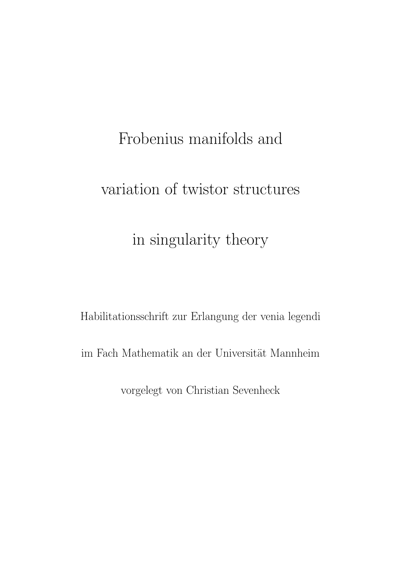# Frobenius manifolds and

## variation of twistor structures

## in singularity theory

Habilitationsschrift zur Erlangung der venia legendi

im Fach Mathematik an der Universität Mannheim

vorgelegt von Christian Sevenheck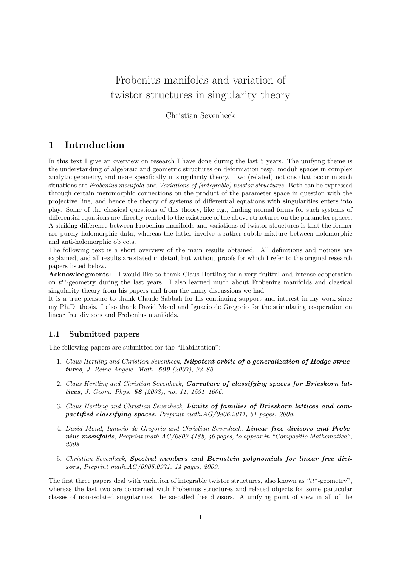### Frobenius manifolds and variation of twistor structures in singularity theory

Christian Sevenheck

### 1 Introduction

In this text I give an overview on research I have done during the last 5 years. The unifying theme is the understanding of algebraic and geometric structures on deformation resp. moduli spaces in complex analytic geometry, and more specifically in singularity theory. Two (related) notions that occur in such situations are Frobenius manifold and Variations of (integrable) twistor structures. Both can be expressed through certain meromorphic connections on the product of the parameter space in question with the projective line, and hence the theory of systems of differential equations with singularities enters into play. Some of the classical questions of this theory, like e.g., finding normal forms for such systems of differential equations are directly related to the existence of the above structures on the parameter spaces. A striking difference between Frobenius manifolds and variations of twistor structures is that the former are purely holomorphic data, whereas the latter involve a rather subtle mixture between holomorphic and anti-holomorphic objects.

The following text is a short overview of the main results obtained. All definitions and notions are explained, and all results are stated in detail, but without proofs for which I refer to the original research papers listed below.

Acknowledgments: I would like to thank Claus Hertling for a very fruitful and intense cooperation on tt<sup>\*</sup>-geometry during the last years. I also learned much about Frobenius manifolds and classical singularity theory from his papers and from the many discussions we had.

It is a true pleasure to thank Claude Sabbah for his continuing support and interest in my work since my Ph.D. thesis. I also thank David Mond and Ignacio de Gregorio for the stimulating cooperation on linear free divisors and Frobenius manifolds.

#### 1.1 Submitted papers

The following papers are submitted for the "Habilitation":

- 1. Claus Hertling and Christian Sevenheck, Nilpotent orbits of a generalization of Hodge structures, J. Reine Angew. Math. 609 (2007), 23–80.
- 2. Claus Hertling and Christian Sevenheck, **Curvature of classifying spaces for Brieskorn lat**tices, J. Geom. Phys. 58 (2008), no. 11, 1591-1606.
- 3. Claus Hertling and Christian Sevenheck, Limits of families of Brieskorn lattices and compactified classifying spaces, Preprint math.AG/0806.2011, 51 pages, 2008.
- 4. David Mond, Ignacio de Gregorio and Christian Sevenheck, Linear free divisors and Frobenius manifolds, Preprint math. $AG/0802.4188$ , 46 pages, to appear in "Compositio Mathematica", 2008.
- 5. Christian Sevenheck, Spectral numbers and Bernstein polynomials for linear free divisors, Preprint math.AG/0905.0971, 14 pages, 2009.

The first three papers deal with variation of integrable twistor structures, also known as " $tt^*$ -geometry", whereas the last two are concerned with Frobenius structures and related objects for some particular classes of non-isolated singularities, the so-called free divisors. A unifying point of view in all of the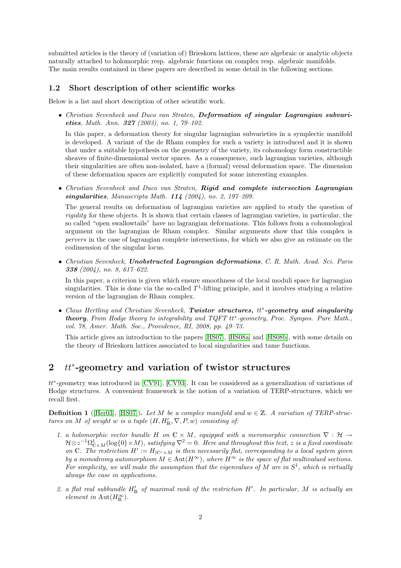submitted articles is the theory of (variation of) Brieskorn lattices, these are algebraic or analytic objects naturally attached to holomorphic resp. algebraic functions on complex resp. algebraic manifolds. The main results contained in these papers are described in some detail in the following sections.

#### 1.2 Short description of other scientific works

Below is a list and short description of other scientific work.

• Christian Sevenheck and Duco van Straten, Deformation of singular Lagrangian subvarieties, Math. Ann. 327 (2003), no. 1, 79–102.

In this paper, a deformation theory for singular lagrangian subvarieties in a symplectic manifold is developed. A variant of the de Rham complex for such a variety is introduced and it is shown that under a suitable hypothesis on the geometry of the variety, its cohomology form constructible sheaves of finite-dimensional vector spaces. As a consequence, such lagrangian varieties, although their singularities are often non-isolated, have a (formal) versal deformation space. The dimension of these deformation spaces are explicitly computed for some interesting examples.

• Christian Sevenheck and Duco van Straten, Rigid and complete intersection Lagrangian singularities, Manuscripta Math.  $114$  (2004), no. 2, 197-209.

The general results on deformation of lagrangian varieties are applied to study the question of rigidity for these objects. It is shown that certain classes of lagrangian varieties, in particular, the so called "open swallowtails" have no lagrangian deformations. This follows from a cohomological argument on the lagrangian de Rham complex. Similar arguments show that this complex is pervers in the case of lagrangian complete intersections, for which we also give an estimate on the codimension of the singular locus.

• Christian Sevenheck, Unobstructed Lagrangian deformations, C. R. Math. Acad. Sci. Paris 338 (2004), no. 8, 617–622.

In this paper, a criterion is given which ensure smoothness of the local moduli space for lagrangian singularities. This is done via the so-called  $T^1$ -lifting principle, and it involves studying a relative version of the lagrangian de Rham complex.

• Claus Hertling and Christian Sevenheck, Twistor structures,  $tt^*$ -geometry and singularity theory, From Hodge theory to integrability and TQFT  $tt^*$ -geometry, Proc. Sympos. Pure Math., vol. 78, Amer. Math. Soc., Providence, RI, 2008, pp. 49–73.

This article gives an introduction to the papers [\[HS07\]](#page-21-0), [\[HS08a\]](#page-21-1) and [\[HS08b\]](#page-21-2), with some details on the theory of Brieskorn lattices associated to local singularities and tame functions.

### <span id="page-3-0"></span>2 tt<sup>\*</sup>-geometry and variation of twistor structures

tt<sup>∗</sup>-geometry was introduced in [\[CV91\]](#page-21-3), [\[CV93\]](#page-21-4). It can be considered as a generalization of variations of Hodge structures. A convenient framework is the notion of a variation of TERP-structures, which we recall first.

<span id="page-3-1"></span>**Definition 1** ([\[Her03\]](#page-21-5), [\[HS07\]](#page-21-0)). Let M be a complex manifold and  $w \in \mathbb{Z}$ . A variation of TERP-structures on M of weight w is a tuple  $(H, H'_{\mathbb{R}}, \nabla, P, w)$  consisting of:

- 1. a holomorphic vector bundle H on  $\mathbb{C} \times M$ , equipped with a meromorphic connection  $\nabla : \mathcal{H} \rightarrow$  $\mathcal{H}\otimes z^{-1}\Omega^1_{\mathbb{C}\times M}(\log\{0\}\times M),$  satisfying  $\nabla^2=0.$  Here and throughout this text,  $z$  is a fixed coordinate on C. The restriction  $H' := H_{\vert \mathbb{C}^* \times M}$  is then necessarily flat, corresponding to a local system given by a monodromy automorphism  $M \in \text{Aut}(H^{\infty})$ , where  $H^{\infty}$  is the space of flat multivalued sections. For simplicity, we will make the assumption that the eigenvalues of M are in  $S^1$ , which is virtually always the case in applications.
- 2. a flat real subbundle  $H'_{\mathbb{R}}$  of maximal rank of the restriction H'. In particular, M is actually an element in Aut $(H_{\mathbb{R}}^{\infty})$ .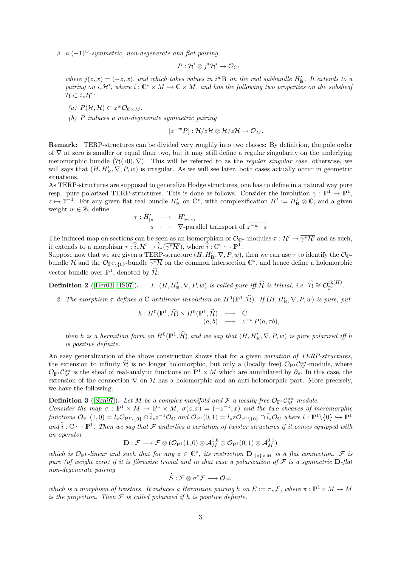3. a  $(-1)^w$ -symmetric, non-degenerate and flat pairing

$$
P: \mathcal{H}' \otimes j^* \mathcal{H}' \to \mathcal{O}_{\mathbb{C}^*}
$$

where  $j(z, x) = (-z, x)$ , and which takes values in i<sup>w</sup>R on the real subbundle  $H'_R$ . It extends to a pairing on  $i_*{\cal H}',$  where  $i:{\mathbb C}^* \times M \hookrightarrow {\mathbb C} \times M,$  and has the following two properties on the subsheaf  $\mathcal{H} \subset i_*\mathcal{H}'$ :

- (a)  $P(\mathcal{H}, \mathcal{H}) \subset z^w \mathcal{O}_{\mathbb{C} \times M}.$
- (b) P induces a non-degenerate symmetric pairing

 $[z^{-w}P]: \mathcal{H}/z\mathcal{H} \otimes \mathcal{H}/z\mathcal{H} \rightarrow \mathcal{O}_M.$ 

Remark: TERP-structures can be divided very roughly into two classes: By definition, the pole order of ∇ at zero is smaller or equal than two, but it may still define a regular singularity on the underlying meromorphic bundle  $(\mathcal{H}(*0), \nabla)$ . This will be referred to as the *regular singular case*, otherwise, we will says that  $(H, H'_{\mathbb{R}}, \nabla, P, w)$  is irregular. As we will see later, both cases actually occur in geometric situations.

As TERP-structures are supposed to generalize Hodge structures, one has to define in a natural way pure resp. pure polarized TERP-structures. This is done as follows. Consider the involution  $\gamma : \mathbb{P}^1 \to \mathbb{P}^1$ ,  $z \mapsto \overline{z}^{-1}$ . For any given flat real bundle  $H'_{\mathbb{R}}$  on  $\mathbb{C}^*$ , with complexification  $H' := H'_{\mathbb{R}} \otimes \mathbb{C}$ , and a given weight  $w \in \mathbb{Z}$ , define

$$
\begin{array}{rcl}\n\tau: H'_{|z} & \longrightarrow & H'_{|\gamma(z)} \\
s & \longmapsto & \nabla\text{-parallel transport of }\overline{z^{-w}\cdot s}\n\end{array}
$$

The induced map on sections can be seen as an isomorphism of  $\mathcal{O}_{\mathbb{C}^*}$ -modules  $\tau : \mathcal{H}' \to \overline{\gamma^* \mathcal{H}'}$  and as such, it extends to a morphism  $\tau : \widehat{i}_* \mathcal{H}' \to \widehat{i}_* (\overline{\gamma^* \mathcal{H}'})$ , where  $\widehat{i}: \mathbb{C}^* \hookrightarrow \mathbb{P}^1$ .

Suppose now that we are given a TERP-structure  $(H, H'_{\mathbb{R}}, \nabla, P, w)$ , then we can use  $\tau$  to identify the  $\mathcal{O}_{\mathbb{C}}$ bundle H and the  $\mathcal{O}_{\mathbb{P}^1\setminus\{0\}}$ -bundle  $\overline{\gamma^*\mathcal{H}}$  on the common intersection  $\mathbb{C}^*$ , and hence define a holomorphic vector bundle over  $\mathbb{P}^1$ , denoted by  $\hat{\mathcal{H}}$ .

Definition 2 ( $[Her03, HS07]$  $[Her03, HS07]$ ).  $E_R', \nabla, P, w$  is called pure iff  $\widehat{\mathcal{H}}$  is trivial, i.e.  $\widehat{\mathcal{H}} \cong \mathcal{O}_{\mathbb{P}^1}^{\text{rk}(H)}.$ 

2. The morphism  $\tau$  defines a C-antilinear involution on  $H^0(\mathbb{P}^1, \hat{\mathcal{H}})$ . If  $(H, H'_{\mathbb{R}}, \nabla, P, w)$  is pure, put

$$
h: H^{0}(\mathbb{P}^{1}, \widehat{\mathcal{H}}) \times H^{0}(\mathbb{P}^{1}, \widehat{\mathcal{H}}) \longrightarrow \mathbb{C}
$$
  

$$
(a, b) \longmapsto z^{-w} P(a, \tau b),
$$

then h is a hermitian form on  $H^0(\mathbb{P}^1, \hat{\mathcal{H}})$  and we say that  $(H, H'_{\mathbb{R}}, \nabla, P, w)$  is pure polarized iff h is positive definite.

An easy generalization of the above construction shows that for a given variation of TERP-structures, the extension to infinity  $\hat{\mathcal{H}}$  is no longer holomorphic, but only a (locally free)  $\mathcal{O}_{\mathbb{P}^1} \mathcal{C}_M^{an}$ -module, where  $\mathcal{O}_{\mathbb{P}^1}\mathcal{C}_M^{an}$  is the sheaf of real-analytic functions on  $\mathbb{P}^1 \times M$  which are annihilated by  $\partial_{\overline{z}}$ . In this case, the extension of the connection  $\nabla$  on  $\mathcal H$  has a holomorphic and an anti-holomorphic part. More precisely, we have the following.

<span id="page-4-0"></span>**Definition 3** ([\[Sim97\]](#page-23-0)). Let M be a complex manifold and  $\mathcal{F}$  a locally free  $\mathcal{O}_{\mathbb{P}^1}$ C<sub>M</sub><sup>-</sup>module.

Consider the map  $\sigma : \mathbb{P}^1 \times M \to \mathbb{P}^1 \times M$ ,  $\sigma(z, x) = (-\overline{z}^{-1}, x)$  and the two sheaves of meromorphic  $functions\ \mathcal{O}_{\mathbb{P}^1}(1,0) = l_*\mathcal{O}_{\mathbb{P}^1\setminus\{0\}} \cap \widetilde{i}_* z^{-1}\mathcal{O}_{\mathbb{C}}\ \text{and}\ \mathcal{O}_{\mathbb{P}^1}(0,1) = l_* z\mathcal{O}_{\mathbb{P}^1\setminus\{0\}} \cap \widetilde{i}_* \mathcal{O}_{\mathbb{C}}\ \text{where}\ l:\mathbb{P}^1\setminus\{0\} \hookrightarrow \mathbb{P}^1$ and  $\tilde{i}: \mathbb{C} \hookrightarrow \mathbb{P}^1$ . Then we say that F underlies a variation of twistor structures if it comes equipped with an operator

$$
\mathbf{D}:\mathcal{F}\longrightarrow \mathcal{F}\otimes (\mathcal{O}_{\mathbb{P}^1}(1,0)\otimes \mathcal{A}^{1,0}_M\oplus \mathcal{O}_{\mathbb{P}^1}(0,1)\otimes \mathcal{A}^{0,1}_M)
$$

which is  $\mathcal{O}_{\mathbb{P}^1}$ -linear and such that for any  $z \in \mathbb{C}^*$ , its restriction  $\mathbf{D}_{|\{z\}\times M}$  is a flat connection. F is pure (of weight zero) if it is fibrewise trivial and in that case a polarization of  $\mathcal F$  is a symmetric **D**-flat non-degenerate pairing

$$
\widehat{S} : \mathcal{F} \otimes \sigma^* \mathcal{F} \longrightarrow \mathcal{O}_{\mathbb{P}^1}
$$

which is a morphism of twistors. It induces a Hermitian pairing h on  $E := \pi_* \mathcal{F}$ , where  $\pi : \mathbb{P}^1 \times M \to M$ is the projection. Then  $\mathcal F$  is called polarized if h is positive definite.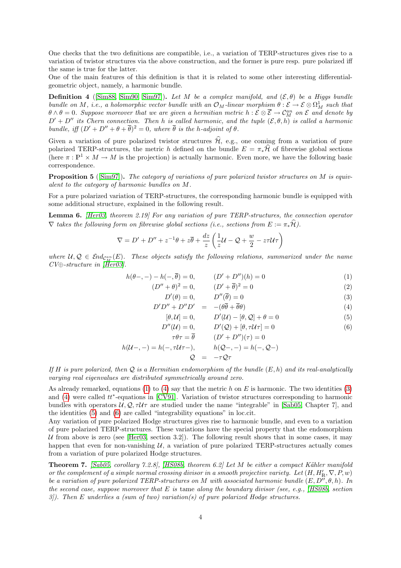One checks that the two definitions are compatible, i.e., a variation of TERP-structures gives rise to a variation of twistor structures via the above construction, and the former is pure resp. pure polarized iff the same is true for the latter.

One of the main features of this definition is that it is related to some other interesting differentialgeometric object, namely, a harmonic bundle.

**Definition 4** ([\[Sim88,](#page-22-0) [Sim90,](#page-22-1) [Sim97\]](#page-23-0)). Let M be a complex manifold, and  $(\mathcal{E}, \theta)$  be a Higgs bundle bundle on M, i.e., a holomorphic vector bundle with an  $\mathcal{O}_M$ -linear morphism  $\theta : \mathcal{E} \to \mathcal{E} \otimes \Omega^1_M$  such that  $\theta \wedge \theta = 0$ . Suppose moreover that we are given a hermitian metric  $h: \mathcal{E} \otimes \overline{\mathcal{E}} \to \mathcal{C}_M^{an}$  on  $\mathcal{E}$  and denote by  $D' + D''$  its Chern connection. Then h is called harmonic, and the tuple  $(\mathcal{E}, \theta, h)$  is called a harmonic bundle, iff  $(D' + D'' + \theta + \overline{\theta})^2 = 0$ , where  $\overline{\theta}$  is the h-adjoint of  $\theta$ .

Given a variation of pure polarized twistor structures  $\hat{\mathcal{H}}$ , e.g., one coming from a variation of pure polarized TERP-structures, the metric h defined on the bundle  $E = \pi_* \mathcal{H}$  of fibrewise global sections (here  $\pi : \mathbb{P}^1 \times M \to M$  is the projection) is actually harmonic. Even more, we have the following basic correspondence.

**Proposition 5** ([\[Sim97\]](#page-23-0)). The category of variations of pure polarized twistor structures on M is equivalent to the category of harmonic bundles on M.

For a pure polarized variation of TERP-structures, the corresponding harmonic bundle is equipped with some additional structure, explained in the following result.

Lemma 6. [\[Her03,](#page-21-5) theorem 2.19] For any variation of pure TERP-structures, the connection operator  $\nabla$  takes the following form on fibrewise global sections (i.e., sections from  $E := \pi_* \widehat{\mathcal{H}}$ ).

$$
\nabla = D' + D'' + z^{-1}\theta + z\overline{\theta} + \frac{dz}{z} \left(\frac{1}{z}\mathcal{U} - \mathcal{Q} + \frac{w}{2} - z\tau\mathcal{U}\tau\right)
$$

where  $u, \mathcal{Q} \in \mathcal{E}nd_{\mathcal{C}_M^{an}}(E)$ . These objects satisfy the following relations, summarized under the name  $CV \oplus-structure$  in [\[Her03\]](#page-21-5).

<span id="page-5-0"></span>
$$
h(\theta-, -) - h(-, \overline{\theta}) = 0, \qquad (D' + D'')(h) = 0 \tag{1}
$$

$$
(D'' + \theta)^2 = 0, \qquad (D' + \overline{\theta})^2 = 0 \tag{2}
$$

$$
D'(\theta) = 0, \qquad D''(\overline{\theta}) = 0 \tag{3}
$$

$$
D'D'' + D''D' = -(\theta \overline{\theta} + \overline{\theta}\theta)
$$
  
(4)  
(4)  
(5)

$$
[\theta, \mathcal{U}] = 0, \qquad D'(\mathcal{U}) - [\theta, \mathcal{Q}] + \theta = 0 \tag{5}
$$
  

$$
D''(\mathcal{U}) = 0, \qquad D'(\mathcal{Q}) + [\theta, \tau \mathcal{U}\tau] = 0 \tag{6}
$$

$$
\tau \theta \tau = \overline{\theta} \qquad (D' + D'')(\tau) = 0
$$

$$
h(\mathcal{U}^-, -) = h(-, \tau \mathcal{U}^+ -), \qquad h(\mathcal{Q}^-, -) = h(-, \mathcal{Q}^-)
$$
  

$$
\mathcal{Q} = -\tau \mathcal{Q}^+
$$

If H is pure polarized, then  $Q$  is a Hermitian endomorphism of the bundle  $(E, h)$  and its real-analytically varying real eigenvalues are distributed symmetrically around zero.

As already remarked, equations [\(1\)](#page-5-0) to [\(4\)](#page-5-0) say that the metric h on E is harmonic. The two identities [\(3\)](#page-5-0) and  $(4)$  were called  $tt^*$ -equations in [\[CV91\]](#page-21-3). Variation of twistor structures corresponding to harmonic bundles with operators  $U, Q, \tau U \tau$  are studied under the name "integrable" in [\[Sab05,](#page-22-2) Chapter 7], and the identities [\(5\)](#page-5-0) and [\(6\)](#page-5-0) are called "integrability equations" in loc.cit.

Any variation of pure polarized Hodge structures gives rise to harmonic bundle, and even to a variation of pure polarized TERP-structures. These variations have the special property that the endomorphism U from above is zero (see [\[Her03,](#page-21-5) section 3.2]). The following result shows that in some cases, it may happen that even for non-vanishing  $U$ , a variation of pure polarized TERP-structures actually comes from a variation of pure polarized Hodge structures.

<span id="page-5-1"></span>Theorem 7. [\[Sab05,](#page-22-2) corollary 7.2.8], [\[HS08b,](#page-21-2) theorem 6.2] Let M be either a compact Kähler manifold or the complement of a simple normal crossing divisor in a smooth projective variety. Let  $(H, H_R, \nabla, P, w)$ be a variation of pure polarized TERP-structures on M with associated harmonic bundle  $(E, D'', \theta, h)$ . In the second case, suppose moreover that  $E$  is tame along the boundary divisor (see, e.g., [\[HS08b,](#page-21-2) section  $3$ ). Then E underlies a (sum of two) variation(s) of pure polarized Hodge structures.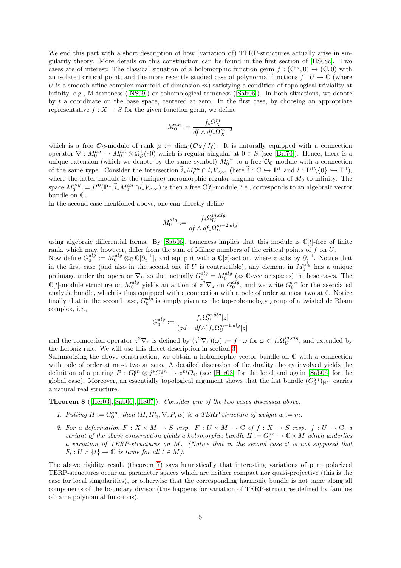We end this part with a short description of how (variation of) TERP-structures actually arise in singularity theory. More details on this construction can be found in the first section of [\[HS08c\]](#page-22-3). Two cases are of interest: The classical situation of a holomorphic function germ  $f : (\mathbb{C}^m, 0) \to (\mathbb{C}, 0)$  with an isolated critical point, and the more recently studied case of polynomial functions  $f: U \to \mathbb{C}$  (where U is a smooth affine complex manifold of dimension  $m$ ) satisfying a condition of topological triviality at infinity, e.g., M-tameness ([\[NS99\]](#page-22-4)) or cohomological tameness([\[Sab06\]](#page-22-5)). In both situations, we denote by t a coordinate on the base space, centered at zero. In the first case, by choosing an appropriate representative  $f: X \to S$  for the given function germ, we define

$$
M^{an}_0:=\frac{f_*\Omega_X^m}{df\wedge df_*\Omega_X^{m-2}}
$$

which is a free  $\mathcal{O}_S$ -module of rank  $\mu := \dim_{\mathbb{C}}(\mathcal{O}_X/J_f)$ . It is naturally equipped with a connection operator  $\nabla: M_0^{an} \to M_0^{an} \otimes \Omega_S^1(*)$  which is regular singular at  $0 \in S$  (see [\[Bri70\]](#page-21-6)). Hence, there is a unique extension (which we denote by the same symbol)  $M_0^{an}$  to a free  $\mathcal{O}_C$ -module with a connection of the same type. Consider the intersection  $\tilde{i}_*M_0^{an} \cap l_*V_{\leq \infty}$  (here  $\tilde{i}: \mathbb{C} \hookrightarrow \mathbb{P}^1$  and  $l: \mathbb{P}^1 \setminus \{0\} \hookrightarrow \mathbb{P}^1$ ), where the latter module is the (unique) meromorphic regular singular extension of  $M_0$  to infinity. The space  $M_0^{alg} := H^0(\mathbb{P}^1, \widetilde{i}_*M_0^{an} \cap l_*V_{<\infty})$  is then a free C[t]-module, i.e., corresponds to an algebraic vector bundle on C.

In the second case mentioned above, one can directly define

$$
M_0^{alg} := \frac{f_* \Omega_U^{m,alg}}{df \wedge df_* \Omega_U^{m-2,alg}}
$$

using algebraic differential forms. By  $[Sub06]$ , tameness implies that this module is  $\mathbb{C}[t]$ -free of finite rank, which may, however, differ from the sum of Milnor numbers of the critical points of  $f$  on  $U$ . Now define  $G_0^{alg} := M_0^{alg} \otimes_{\mathbb{C}} \mathbb{C}[\partial_t^{-1}]$ , and equip it with a  $\mathbb{C}[z]$ -action, where z acts by  $\partial_t^{-1}$ . Notice that in the first case (and also in the second one if U is contractible), any element in  $M_0^{alg}$  has a unique preimage under the operator  $\nabla_t$ , so that actually  $G_0^{alg} = M_0^{alg}$  (as C-vector spaces) in these cases. The C[t]-module structure on  $M_0^{alg}$  yields an action of  $z^2 \nabla_z$  on  $G_0^{alg}$ , and we write  $G_0^{an}$  for the associated finally

analytic bundle, which is thus equipped with a connection with a pole of order at most two at 0. Notice  
finally that in the second case, 
$$
G_0^{alg}
$$
 is simply given as the top-cohomology group of a twisted de Rham  
complex, i.e.,

$$
G_0^{alg} := \frac{f_* \Omega^{m,alg}_U[z]}{(zd-df \wedge) f_* \Omega^{m-1,alg}_U[z]}
$$

and the connection operator  $z^2 \nabla_z$  is defined by  $(z^2 \nabla_z)(\omega) := f \cdot \omega$  for  $\omega \in f_* \Omega_U^{m,alg}$ , and extended by the Leibniz rule. We will use this direct description in section [3.](#page-12-0)

Summarizing the above construction, we obtain a holomorphic vector bundle on C with a connection with pole of order at most two at zero. A detailed discussion of the duality theory involved yields the definition of a pairing  $P: G_0^{an} \otimes j^* G_0^{an} \to z^m \mathcal{O}_{\mathbb{C}}$  (see [\[Her03\]](#page-21-5) for the local and again [\[Sab06\]](#page-22-5) for the global case). Moreover, an essentially topological argument shows that the flat bundle  $(G_0^{an})_{\vert \mathbb{C}^*}$  carries a natural real structure.

<span id="page-6-0"></span>Theorem 8 ([\[Her03\]](#page-21-5),[\[Sab06\]](#page-22-5),[\[HS07\]](#page-21-0)). Consider one of the two cases discussed above.

- 1. Putting  $H := G_0^{an}$ , then  $(H, H'_{\mathbb{R}}, \nabla, P, w)$  is a TERP-structure of weight  $w := m$ .
- 2. For a deformation  $F: X \times M \to S$  resp.  $F: U \times M \to \mathbb{C}$  of  $f: X \to S$  resp.  $f: U \to \mathbb{C}$ , a variant of the above construction yields a holomorphic bundle  $H := G_0^{an} \to \mathbb{C} \times M$  which underlies a variation of TERP-structures on M. (Notice that in the second case it is not supposed that  $F_t: U \times \{t\} \to \mathbb{C}$  is tame for all  $t \in M$ ).

The above rigidity result (theorem [7\)](#page-5-1) says heuristically that interesting variations of pure polarized TERP-structures occur on parameter spaces which are neither compact nor quasi-projective (this is the case for local singularities), or otherwise that the corresponding harmonic bundle is not tame along all components of the boundary divisor (this happens for variation of TERP-structures defined by families of tame polynomial functions).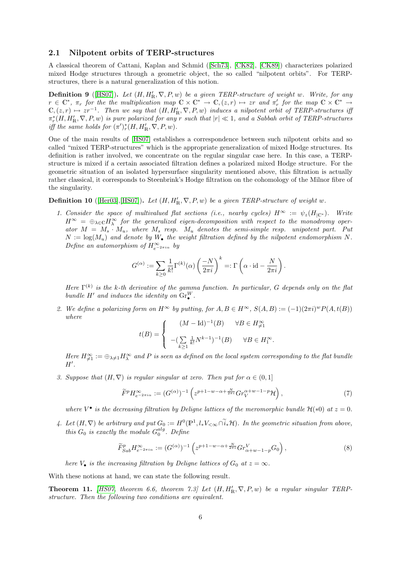#### 2.1 Nilpotent orbits of TERP-structures

A classical theorem of Cattani, Kaplan and Schmid([\[Sch73\]](#page-22-6), [\[CK82\]](#page-21-7), [\[CK89\]](#page-21-8)) characterizes polarized mixed Hodge structures through a geometric object, the so called "nilpotent orbits". For TERPstructures, there is a natural generalization of this notion.

<span id="page-7-2"></span>**Definition 9** ([\[HS07\]](#page-21-0)). Let  $(H, H'_{\mathbb{R}}, \nabla, P, w)$  be a given TERP-structure of weight w. Write, for any  $r \in \mathbb{C}^*$ ,  $\pi_r$  for the the multiplication map  $\mathbb{C} \times \mathbb{C}^* \to \mathbb{C}$ ,  $(z,r) \mapsto zr$  and  $\pi'_r$  for the map  $\mathbb{C} \times \mathbb{C}^* \to$  $\mathbb{C}, (z, r) \mapsto zr^{-1}$ . Then we say that  $(H, H'_{\mathbb{R}}, \nabla, P, w)$  induces a nilpotent orbit of TERP-structures if  $\pi_r^*(H, H_R', \nabla, P, w)$  is pure polarized for any r such that  $|r| \ll 1$ , and a Sabbah orbit of TERP-structures iff the same holds for  $(\pi')^*_r(H, H'_{\mathbb{R}}, \nabla, P, w)$ .

One of the main results of [\[HS07\]](#page-21-0) establishes a correspondence between such nilpotent orbits and so called "mixed TERP-structures" which is the appropriate generalization of mixed Hodge structures. Its definition is rather involved, we concentrate on the regular singular case here. In this case, a TERPstructure is mixed if a certain associated filtration defines a polarized mixed Hodge structure. For the geometric situation of an isolated hypersurface singularity mentioned above, this filtration is actually rather classical, it corresponds to Steenbrink's Hodge filtration on the cohomology of the Milnor fibre of the singularity.

<span id="page-7-1"></span>**Definition 10** ([\[Her03\]](#page-21-5),[\[HS07\]](#page-21-0)). Let  $(H, H'_{\mathbb{R}}, \nabla, P, w)$  be a given TERP-structure of weight w.

1. Consider the space of multivalued flat sections (i.e., nearby cycles)  $H^{\infty} := \psi_z(H_{|\mathbb{C}^*})$ . Write  $H^{\infty} = \bigoplus_{\lambda \in \mathbb{C}} H^{\infty}_{\lambda}$  for the generalized eigen-decomposition with respect to the monodromy operator  $M = M_s \cdot M_u$ , where  $M_s$  resp.  $M_u$  denotes the semi-simple resp. unipotent part. Put  $N := \log(M_u)$  and denote by  $W_{\bullet}$  the weight filtration defined by the nilpotent endomorphism N. Define an automorphism of  $H_{e^{-2\pi i\alpha}}^{\infty}$  by

$$
G^{(\alpha)} := \sum_{k\geq 0} \frac{1}{k!} \Gamma^{(k)}(\alpha) \left(\frac{-N}{2\pi i}\right)^k =: \Gamma\left(\alpha \cdot \mathrm{id} - \frac{N}{2\pi i}\right).
$$

Here  $\Gamma^{(k)}$  is the k-th derivative of the gamma function. In particular, G depends only on the flat bundle H' and induces the identity on  $\text{Gr}_{\bullet}^W$ .

2. We define a polarizing form on  $H^{\infty}$  by putting, for  $A, B \in H^{\infty}$ ,  $S(A, B) := (-1)(2\pi i)^{w} P(A, t(B))$ where

$$
t(B) = \begin{cases} & (M - \text{Id})^{-1}(B) & \forall B \in H_{\neq 1}^{\infty} \\ & -(\sum\limits_{k \geq 1} \frac{1}{k!} N^{k-1})^{-1}(B) & \forall B \in H_1^{\infty} . \end{cases}
$$

Here  $H_{\neq 1}^{\infty} := \bigoplus_{\lambda \neq 1} H_{\lambda}^{\infty}$  and P is seen as defined on the local system corresponding to the flat bundle  $H'.$ 

3. Suppose that  $(H, \nabla)$  is regular singular at zero. Then put for  $\alpha \in (0, 1]$ 

$$
\widetilde{F}^p H_{e^{-2\pi i \alpha}}^{\infty} := (G^{(\alpha)})^{-1} \left( z^{p+1-w-\alpha+\frac{N}{2\pi i}} G r_V^{\alpha+w-1-p} \mathcal{H} \right),\tag{7}
$$

where  $V^{\bullet}$  is the decreasing filtration by Deligne lattices of the meromorphic bundle  $\mathcal{H}(*0)$  at  $z=0$ .

4. Let  $(H, \nabla)$  be arbitrary and put  $G_0 := H^0(\mathbb{P}^1, l_*V_{\leq \infty} \cap \tilde{i}_*\mathcal{H})$ . In the geometric situation from above, this  $G_0$  is exactly the module  $G_0^{alg}$ . Define

$$
\widetilde{F}_{Sab}^p H_{e^{-2\pi i\alpha}}^{\infty} := (G^{(\alpha)})^{-1} \left( z^{p+1-w-\alpha+\frac{N}{2\pi i}} G r_{\alpha+w-1-p}^V G_0 \right),\tag{8}
$$

here  $V_{\bullet}$  is the increasing filtration by Deligne lattices of  $G_0$  at  $z = \infty$ .

<span id="page-7-0"></span>With these notions at hand, we can state the following result.

**Theorem 11.** [\[HS07,](#page-21-0) theorem 6.6, theorem 7.3] Let  $(H, H_R', \nabla, P, w)$  be a regular singular TERPstructure. Then the following two conditions are equivalent.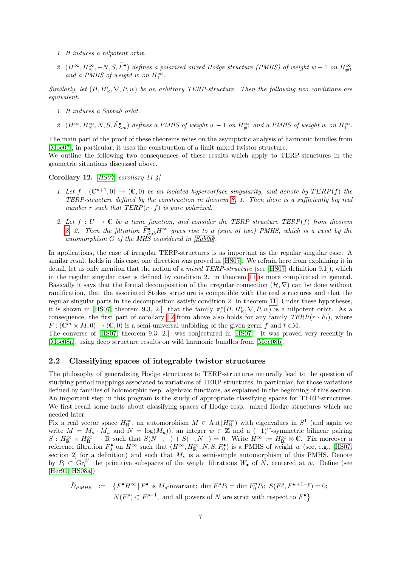- 1. It induces a nilpotent orbit.
- 2.  $(H^{\infty}, H^{\infty}_{\mathbb{R}}, -N, S, \tilde{F}^{\bullet})$  defines a polarized mixed Hodge structure (PMHS) of weight w 1 on  $H^{\infty}_{\neq 1}$  and a PMHS of weight w on  $H^{\infty}_{\perp}$ .

Similarly, let  $(H, H'_{\mathbb{R}}, \nabla, P, w)$  be an arbitrary TERP-structure. Then the following two conditions are equivalent.

- 1. It induces a Sabbah orbit.
- 2.  $(H^{\infty}, H^{\infty}_{\mathbb{R}}, N, S, \tilde{F}_{Sab}^{\bullet})$  defines a PMHS of weight  $w-1$  on  $H^{\infty}_{\neq 1}$  and a PMHS of weight w on  $H^{\infty}_{1}$ .

The main part of the proof of these theorems relies on the asymptotic analysis of harmonic bundles from [\[Moc07\]](#page-22-7), in particular, it uses the construction of a limit mixed twistor structure.

We outline the following two consequences of these results which apply to TERP-structures in the geometric situations discussed above.

<span id="page-8-0"></span>Corollary 12. [\[HS07,](#page-21-0) corollary 11.4]

- 1. Let  $f: (\mathbb{C}^{n+1},0) \to (\mathbb{C},0)$  be an isolated hypersurface singularity, and denote by  $TERP(f)$  the TERP-structure defined by the construction in theorem  $8$ , 1. Then there is a sufficiently big real number r such that  $TERP(r \cdot f)$  is pure polarized.
- 2. Let  $f: U \to \mathbb{C}$  be a tame function, and consider the TERP structure TERP(f) from theorem [8,](#page-6-0) 2. Then the filtration  $\tilde{F}_{Sab}^{\bullet}H^{\infty}$  gives rise to a (sum of two) PMHS, which is a twist by the automorphism G of the MHS considered in [\[Sab06\]](#page-22-5).

In applications, the case of irregular TERP-structures is as important as the regular singular case. A similar result holds in this case, one direction was proved in [\[HS07\]](#page-21-0). We refrain here from explaining it in detail, let us only mention that the notion of a *mixed TERP-structure* (see [\[HS07,](#page-21-0) definition 9.1]), which in the regular singular case is defined by condition 2. in theorem [11](#page-7-0) is more complicated in general. Basically it says that the formal decomposition of the irregular connection  $(H, \nabla)$  can be done without ramification, that the associated Stokes structure is compatible with the real structures and that the regular singular parts in the decomposition satisfy condition 2. in theorem [11.](#page-7-0) Under these hypotheses, it is shown in [\[HS07,](#page-21-0) theorem 9.3, 2.] that the family  $\pi_r^*(H, H_R', \nabla, P, w)$  is a nilpotent orbit. As a consequence, the first part of corollary [12](#page-8-0) from above also holds for any family  $TERP(r \cdot F_t)$ , where  $F: (\mathbb{C}^m \times M, 0) \to (\mathbb{C}, 0)$  is a semi-universal unfolding of the given germ f and  $t \in M$ .

The converse of [\[HS07,](#page-21-0) theorem 9.3, 2.] was conjectured in [\[HS07\]](#page-21-0). It was proved very recently in [\[Moc08a\]](#page-22-8), using deep structure results on wild harmonic bundles from [\[Moc08b\]](#page-22-9).

#### <span id="page-8-1"></span>2.2 Classifying spaces of integrable twistor structures

The philosophy of generalizing Hodge structures to TERP-structures naturally lead to the question of studying period mappings associated to variations of TERP-structures, in particular, for those variations defined by families of holomorphic resp. algebraic functions, as explained in the beginning of this section. An important step in this program is the study of appropriate classifying spaces for TERP-structures. We first recall some facts about classifying spaces of Hodge resp. mixed Hodge structures which are needed later.

Fix a real vector space  $H_{\mathbb{R}}^{\infty}$ , an automorphism  $M \in \text{Aut}(H_{\mathbb{R}}^{\infty})$  with eigenvalues in  $S^1$  (and again we write  $M = M_s \cdot M_u$  and  $N = \log(M_u)$ , an integer  $w \in \mathbb{Z}$  and a  $(-1)^w$ -symmetric bilinear pairing  $S: H_{\mathbb{R}}^{\infty} \times H_{\mathbb{R}}^{\infty} \to \mathbb{R}$  such that  $S(N-, -) + S(-, N-) = 0$ . Write  $H^{\infty} := H_{\mathbb{R}}^{\infty} \otimes \mathbb{C}$ . Fix moreover a reference filtration  $F_0^{\bullet}$  on  $H^{\infty}$  such that  $(H^{\infty}, H^{\infty}_{\mathbb{R}}, N, S, F_0^{\bullet})$  is a PMHS of weight w (see, e.g., [\[HS07,](#page-21-0) section 2 for a definition) and such that  $M_s$  is a semi-simple automorphism of this PMHS. Denote by  $P_l \subset \text{Gr}_l^W$  the primitive subspaces of the weight filtrations  $W_{\bullet}$  of  $N$ , centered at w. Define (see [\[Her99,](#page-21-9) [HS08a\]](#page-21-1))

$$
\tilde{D}_{PMHS} \quad := \quad \left\{ F^{\bullet} H^{\infty} \, | \, F^{\bullet} \text{ is } M_s\text{-invariant}; \dim F^p P_l = \dim F_0^p P_l; \ S(F^p, F^{w+1-p}) = 0; \right. \\
 \left. N(F^p) \subset F^{p-1}, \text{ and all powers of } N \text{ are strict with respect to } F^{\bullet} \right\}
$$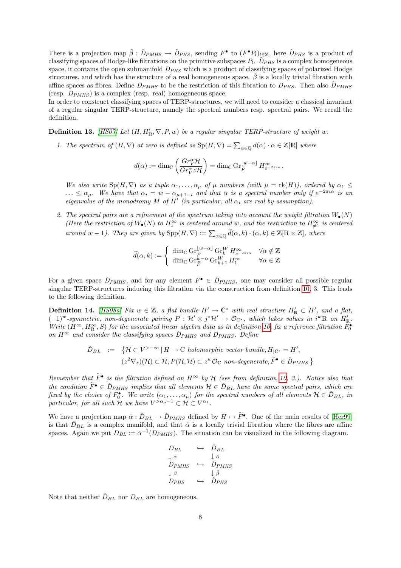There is a projection map  $\check{\beta}: \check{D}_{PMHS} \to \check{D}_{PHS}$ , sending  $F^{\bullet}$  to  $(F^{\bullet}P_l)_{l \in \mathbb{Z}}$ , here  $\check{D}_{PHS}$  is a product of classifying spaces of Hodge-like filtrations on the primitive subspaces  $P_l$ .  $\tilde{D}_{PHS}$  is a complex homogeneous space, it contains the open submanifold  $D_{PHS}$  which is a product of classifying spaces of polarized Hodge structures, and which has the structure of a real homogeneous space.  $\hat{\beta}$  is a locally trivial fibration with affine spaces as fibres. Define  $D_{PMHS}$  to be the restriction of this fibration to  $D_{PHS}$ . Then also  $\tilde{D}_{PMHS}$ (resp.  $D_{PMHS}$ ) is a complex (resp. real) homogeneous space.

In order to construct classifying spaces of TERP-structures, we will need to consider a classical invariant of a regular singular TERP-structure, namely the spectral numbers resp. spectral pairs. We recall the definition.

<span id="page-9-0"></span>**Definition 13.** [\[HS07\]](#page-21-0) Let  $(H, H'_{R}, \nabla, P, w)$  be a regular singular TERP-structure of weight w.

1. The spectrum of  $(H, \nabla)$  at zero is defined as  $\text{Sp}(H, \nabla) = \sum_{\alpha \in \mathbb{Q}} d(\alpha) \cdot \alpha \in \mathbb{Z}[\mathbb{R}]$  where

$$
d(\alpha) := \dim_{\mathbb{C}} \left( \frac{Gr_V^{\alpha} \mathcal{H}}{Gr_V^{\alpha} z \mathcal{H}} \right) = \dim_{\mathbb{C}} \operatorname{Gr}_{\widetilde{F}}^{\lfloor w - \alpha \rfloor} H_{e^{-2\pi i \alpha}}^{\infty}.
$$

We also write  $Sp(H,\nabla)$  as a tuple  $\alpha_1,\ldots,\alpha_\mu$  of  $\mu$  numbers (with  $\mu = \text{rk}(H)$ ), ordered by  $\alpha_1 \leq$  $\ldots \leq \alpha_{\mu}$ . We have that  $\alpha_i = w - \alpha_{\mu+1-i}$  and that  $\alpha$  is a spectral number only if  $e^{-2\pi i \alpha}$  is an eigenvalue of the monodromy M of  $H'$  (in particular, all  $\alpha_i$  are real by assumption).

2. The spectral pairs are a refinement of the spectrum taking into account the weight filtration  $W_{\bullet}(N)$ (Here the restriction of  $W_{\bullet}(N)$  to  $H_1^{\infty}$  is centered around w, and the restriction to  $H_{\neq 1}^{\infty}$  is centered around w – 1). They are given by  $\text{Spp}(H,\nabla) := \sum_{\alpha \in \mathbb{Q}} \widetilde{d}(\alpha,k) \cdot (\alpha,k) \in \mathbb{Z}[\mathbb{R} \times \mathbb{Z}]$ , where

$$
\widetilde{d}(\alpha, k) := \begin{cases}\n\dim_{\mathbb{C}} \mathrm{Gr}_{\widetilde{F}}^{[w-\alpha]} \mathrm{Gr}_{k}^{W} H_{e^{-2\pi i \alpha}}^{\infty} & \forall \alpha \notin \mathbb{Z} \\
\dim_{\mathbb{C}} \mathrm{Gr}_{\widetilde{F}}^{w-\alpha} \mathrm{Gr}_{k+1}^{W} H_{1}^{\infty} & \forall \alpha \in \mathbb{Z}\n\end{cases}
$$

For a given space  $\check{D}_{PMHS}$ , and for any element  $F^{\bullet} \in \check{D}_{PMHS}$ , one may consider all possible regular singular TERP-structures inducing this filtration via the construction from definition [10,](#page-7-1) 3. This leads to the following definition.

**Definition 14.** [\[HS08a\]](#page-21-1) Fix  $w \in \mathbb{Z}$ , a flat bundle  $H' \to \mathbb{C}^*$  with real structure  $H'_R \subset H'$ , and a flat,  $(-1)^w$ -symmetric, non-degenerate pairing  $P: \mathcal{H}' \otimes j^* \mathcal{H}' \to \mathcal{O}_{\mathbb{C}^*}$ , which takes values in i<sup>w</sup>R on  $H'_{\mathbb{R}}$ . Write  $(H^{\infty}, H^{\infty}_{\mathbb{R}}, S)$  for the associated linear algebra data as in definition [10,](#page-7-1) fix a reference filtration  $F_0^{\bullet}$ on  $H^{\infty}$  and consider the classifying spaces  $\tilde{D}_{PMHS}$  and  $D_{PMHS}$ . Define

$$
\check{D}_{BL} := \{ \mathcal{H} \subset V^{>-\infty} \mid H \to \mathbb{C} \text{ holomorphic vector bundle}, H_{|\mathbb{C}^*} = H',
$$
  

$$
(z^2 \nabla_z)(\mathcal{H}) \subset \mathcal{H}, P(\mathcal{H}, \mathcal{H}) \subset z^w \mathcal{O}_{\mathbb{C}} \text{ non-degenerate}, \widetilde{F}^{\bullet} \in \check{D}_{PMHS} \}
$$

Remember that  $\widetilde{F}^{\bullet}$  is the filtration defined on  $H^{\infty}$  by  $\mathcal H$  (see from definition [10,](#page-7-1) 3.). Notice also that the condition  $\widetilde{F}^{\bullet} \in \check{D}_{PMHS}$  implies that all elements  $\mathcal{H} \in \check{D}_{BL}$  have the same spectral pairs, which are fixed by the choice of  $F_0^{\bullet}$ . We write  $(\alpha_1,\ldots,\alpha_\mu)$  for the spectral numbers of all elements  $\mathcal{H} \in \check{D}_{BL}$ , in particular, for all such H we have  $V^{>\alpha_{\mu}-1} \subset H \subset V^{\alpha_1}$ .

We have a projection map  $\check{\alpha} : \check{D}_{BL} \to \check{D}_{PMHS}$  defined by  $H \mapsto \widetilde{F}^{\bullet}$ . One of the main results of [\[Her99\]](#page-21-9) is that  $\check{D}_{BL}$  is a complex manifold, and that  $\check{\alpha}$  is a locally trivial fibration where the fibres are affine spaces. Again we put  $D_{BL} := \check{\alpha}^{-1}(D_{PMHS})$ . The situation can be visualized in the following diagram.

$$
\begin{array}{ccc}\nD_{BL} & \hookrightarrow & \check{D}_{BL} \\
\downarrow \alpha & & \downarrow \check{\alpha} \\
D_{PMHS} & \hookrightarrow & \check{D}_{PMHS} \\
\downarrow \beta & & \downarrow \check{\beta} \\
D_{PHS} & \hookrightarrow & \check{D}_{PHS}\n\end{array}
$$

Note that neither  $D_{BL}$  nor  $D_{BL}$  are homogeneous.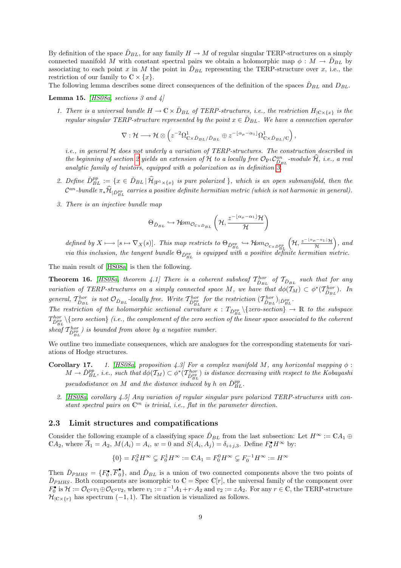By definition of the space  $\tilde{D}_{BL}$ , for any family  $H \to M$  of regular singular TERP-structures on a simply connected manifold M with constant spectral pairs we obtain a holomorphic map  $\phi : M \to \tilde{D}_{BL}$  by associating to each point x in M the point in  $\check{D}_{BL}$  representing the TERP-structure over x, i.e., the restriction of our family to  $\mathbb{C} \times \{x\}.$ 

<span id="page-10-0"></span>The following lemma describes some direct consequences of the definition of the spaces  $\tilde{D}_{BL}$  and  $D_{BL}$ .

**Lemma 15.** [\[HS08a,](#page-21-1) sections 3 and 4]

1. There is a universal bundle  $H \to \mathbb{C} \times \check{D}_{BL}$  of TERP-structures, i.e., the restriction  $H_{|\mathbb{C} \times \{x\}}$  is the regular singular TERP-structure represented by the point  $x \in \check{D}_{BL}$ . We have a connection operator

$$
\nabla: \mathcal{H} \longrightarrow \mathcal{H} \otimes \left( z^{-2} \Omega_{\mathbb{C} \times \check{D}_{BL}/\check{D}_{BL}}^1 \oplus z^{-\lfloor \alpha_\mu - \alpha_1 \rfloor} \Omega_{\mathbb{C} \times \check{D}_{BL}/\mathbb{C}}^1 \right),
$$

i.e., in general H does not underly a variation of TERP-structures. The construction described in the beginning of section [2](#page-3-0) yields an extension of H to a locally free  $\mathcal{O}_{{\rm P}^1} \mathcal{C}_{\tilde{D}_{BL}}^{an}$ -module  $\hat{\mathcal{H}}$ , i.e., a real analytic family of twistors, equipped with a polarization as in definition  $\overline{3}$ .

- 2. Define  $\tilde{D}_{BL}^{pp} := \{x \in \tilde{D}_{BL} \mid \hat{\mathcal{H}}_{|\mathbb{P}^1 \times \{x\}} \text{ is pure polarized } \}$ , which is an open submanifold, then the  ${\cal C}^{an}$ -bundle  $\pi_*\widehat{\cal H}_{|\breve{D}_{BL}^{pp}}$  carries a positive definite hermitian metric (which is not harmonic in general).
- 3. There is an injective bundle map

$$
\Theta_{\check{D}_{BL}} \hookrightarrow \mathcal{H}om_{\mathcal{O}_{C\times \check{D}_{BL}}} \left(\mathcal{H}, \frac{z^{-\lfloor \alpha_{\mu}-\alpha_{1} \rfloor} \mathcal{H}}{\mathcal{H}}\right)
$$

defined by  $X \longmapsto [s \mapsto \nabla_X(s)]$ . This map restricts to  $\Theta_{\tilde{D}_{BL}^{pp}} \hookrightarrow \mathcal{H}om_{\mathcal{O}_{C \times \tilde{D}_{BL}^{pp}}}$  $(\mathcal{H}, \frac{z^{-\lfloor \alpha_{\mu}-\alpha_{1}\rfloor}\mathcal{H}}{\mathcal{H}}),$  and via this inclusion, the tangent bundle  $\Theta_{\check{D}_{BL}^{pp}}$  is equipped with a positive definite hermitian metric.

The main result of [\[HS08a\]](#page-21-1) is then the following.

**Theorem 16.** [\[HS08a,](#page-21-1) theorem 4.1] There is a coherent subsheaf  $T_{\tilde{D}_{BL}}^{hor}$  of  $T_{\tilde{D}_{BL}}$  such that for any variation of TERP-structures on a simply connected space M, we have that  $d\phi(T_M) \subset \phi^*(T_{\tilde{D}_{BL}}^{hor})$ . In general,  $T_{\tilde{D}_{BL}}^{hor}$  is not  $\mathcal{O}_{\tilde{D}_{BL}}$ -locally free. Write  $T_{\tilde{D}_{BL}}^{hor}$  for the restriction  $(T_{\tilde{D}_{BL}}^{hor})_{|\tilde{D}_{BL}}^{per}$ .

The restriction of the holomorphic sectional curvature  $\kappa$ :  $T_{\tilde{D}_{BL}^{pp}}\$  {zero-section}  $\rightarrow \mathbb{R}$  to the subspace  $T_{\bar{D}_{BL}^{pp}}^{hor} \backslash \{zero\ section\}$  (i.e., the complement of the zero section of the linear space associated to the coherent sheaf  $T_{\tilde{D}_{BL}^{pp}}^{hor}$ ) is bounded from above by a negative number.

We outline two immediate consequences, which are analogues for the corresponding statements for variations of Hodge structures.

- **Corollary 17.** 1. [\[HS08a,](#page-21-1) proposition 4.3] For a complex manifold M, any horizontal mapping  $\phi$ :  $M \to \check{D}_{BL}^{pp}$ , i.e., such that  $d\phi(T_M) \subset \phi^*(\mathcal{T}_{\check{D}_{BL}^{pp}}^{hor})$  is distance decreasing with respect to the Kobayashi pseudodistance on M and the distance induced by h on  $\check{D}_{BL}^{pp}$ .
	- 2. [\[HS08a,](#page-21-1) corollary 4.5] Any variation of regular singular pure polarized TERP-structures with constant spectral pairs on  $\mathbb{C}^m$  is trivial, i.e., flat in the parameter direction.

#### 2.3 Limit structures and compatifications

Consider the following example of a classifying space  $\tilde{D}_{BL}$  from the last subsection: Let  $H^{\infty} := \mathbb{C} A_1 \oplus$  $\mathbb{C}A_2$ , where  $\overline{A}_1 = A_2$ ,  $M(A_i) = A_i$ ,  $w = 0$  and  $S(A_i, A_j) = \delta_{i+j,3}$ . Define  $F_0^{\bullet} H^{\infty}$  by:

$$
\{0\}=F_0^2H^\infty\subsetneq F_0^1H^\infty:=\mathbb{C} A_1=F_0^0H^\infty\subsetneq F_0^{-1}H^\infty:=H^\infty
$$

Then  $\tilde{D}_{PMHS} = \{F_0^{\bullet}, \overline{F}_0^{\bullet}\}$ , and  $\tilde{D}_{BL}$  is a union of two connected components above the two points of  $\tilde{D}_{PMHS}$ . Both components are isomorphic to  $\mathbb{C} = \text{Spec } \mathbb{C}[r]$ , the universal family of the component over  $F_0^{\bullet}$  is  $\mathcal{H} := \mathcal{O}_{\mathbb{C}^2} v_1 \oplus \mathcal{O}_{\mathbb{C}^2} v_2$ , where  $v_1 := z^{-1} A_1 + r \cdot A_2$  and  $v_2 := z A_2$ . For any  $r \in \mathbb{C}$ , the TERP-structure  $\mathcal{H}_{\lvert C \times \{r\}}$  has spectrum (-1, 1). The situation is visualized as follows.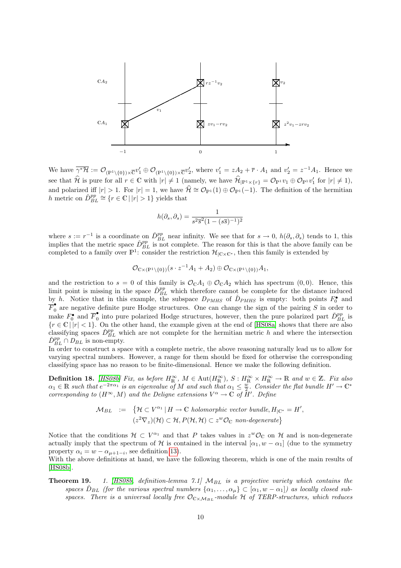

We have  $\overline{\gamma^*\mathcal{H}} := \mathcal{O}_{(\mathbb{P}^1 \setminus \{0\}) \times \overline{\mathbb{C}}^{v'_1} \oplus \mathcal{O}_{(\mathbb{P}^1 \setminus \{0\}) \times \overline{\mathbb{C}}^{v'_2}}$ , where  $v'_1 = zA_2 + \overline{r} \cdot A_1$  and  $v'_2 = z^{-1}A_1$ . Hence we see that  $\hat{\mathcal{H}}$  is pure for all  $r \in \mathbb{C}$  with  $|r| \neq 1$  (namely, we have  $\hat{\mathcal{H}}_{|\mathbb{P}^1 \times \{r\}} = \mathcal{O}_{\mathbb{P}^1} v_1 \oplus \mathcal{O}_{\mathbb{P}^1} v'_1$  for  $|r| \neq 1$ ), and polarized iff  $|r| > 1$ . For  $|r| = 1$ , we have  $\hat{\mathcal{H}} \cong \mathcal{O}_{\mathbb{P}^1}(1) \oplus \mathcal{O}_{\mathbb{P}^1}(-1)$ . The definition of the hermitian h metric on  $\tilde{D}_{BL}^{pp} \cong \{r \in \mathbb{C} \mid |r| > 1\}$  yields that

$$
h(\partial_s, \partial_s) = \frac{1}{s^2 \overline{s}^2 (1 - (s\overline{s})^{-1})^2}
$$

where  $s := r^{-1}$  is a coordinate on  $\tilde{D}_{BL}^{pp}$  near infinity. We see that for  $s \to 0$ ,  $h(\partial_s, \partial_s)$  tends to 1, this implies that the metric space  $\tilde{D}_{BL}^{pp}$  is not complete. The reason for this is that the above family can be completed to a family over  $\mathbb{P}^1$ : consider the restriction  $\mathcal{H}_{|\mathbb{C}\times\mathbb{C}^*}$ , then this family is extended by

$$
\mathcal{O}_{\mathbb{C}\times(\mathbb{P}^1\setminus\{0\})}(s\cdot z^{-1}A_1+A_2)\oplus \mathcal{O}_{\mathbb{C}\times(\mathbb{P}^1\setminus\{0\})}A_1,
$$

and the restriction to  $s = 0$  of this family is  $\mathcal{O}_\mathbb{C} A_1 \oplus \mathcal{O}_\mathbb{C} A_2$  which has spectrum  $(0,0)$ . Hence, this limit point is missing in the space  $\tilde{D}_{BL}^{pp}$  which therefore cannot be complete for the distance induced by h. Notice that in this example, the subspace  $D_{PMHS}$  of  $\tilde{D}_{PMHS}$  is empty: both points  $F_0^{\bullet}$  and  $\overline{F}_0^{\bullet}$  are negative definite pure Hodge structures. One can change the sign of the pairing S in order to make  $F_0^{\bullet}$  and  $\overline{F}_0^{\bullet}$ on into pure polarized Hodge structures, however, then the pure polarized part  $\check{D}_{BL}^{pp}$  is  ${r \in \mathbb{C} | |r| < 1}.$  On the other hand, the example given at the end of [\[HS08a\]](#page-21-1) shows that there are also classifying spaces  $\tilde{D}_{BL}^{pp}$  which are not complete for the hermitian metric h and where the intersection  $\check{D}_{BL}^{pp} \cap D_{BL}$  is non-empty.

In order to construct a space with a complete metric, the above reasoning naturally lead us to allow for varying spectral numbers. However, a range for them should be fixed for otherwise the corresponding classifying space has no reason to be finite-dimensional. Hence we make the following definition.

**Definition 18.** [\[HS08b\]](#page-21-2) Fix, as before  $H_{\mathbb{R}}^{\infty}$ ,  $M \in \text{Aut}(H_{\mathbb{R}}^{\infty})$ ,  $S: H_{\mathbb{R}}^{\infty} \times H_{\mathbb{R}}^{\infty} \to \mathbb{R}$  and  $w \in \mathbb{Z}$ . Fix also  $\alpha_1 \in \mathbb{R}$  such that  $e^{-2\pi \alpha_1}$  is an eigenvalue of M and such that  $\alpha_1 \leq \frac{w}{2}$ . Consider the flat bundle  $H' \to \mathbb{C}^*$ corresponding to  $(H^{\infty}, M)$  and the Deligne extensions  $V^{\alpha} \to \mathbb{C}$  of  $H'$ . Define

$$
\mathcal{M}_{BL} := \{ \mathcal{H} \subset V^{\alpha_1} \mid H \to \mathbb{C} \text{ holomorphic vector bundle}, H_{|\mathbb{C}^*} = H',
$$
  

$$
(z^2 \nabla_z)(\mathcal{H}) \subset \mathcal{H}, P(\mathcal{H}, \mathcal{H}) \subset z^w \mathcal{O}_{\mathbb{C}} \text{ non-degenerate} \}
$$

Notice that the conditions  $\mathcal{H} \subset V^{\alpha_1}$  and that P takes values in  $z^w \mathcal{O}_\mathbb{C}$  on H and is non-degenerate actually imply that the spectrum of H is contained in the interval  $[\alpha_1, w - \alpha_1]$  (due to the symmetry property  $\alpha_i = w - \alpha_{\mu+1-i}$ , see definition [13\)](#page-9-0).

With the above definitions at hand, we have the following theorem, which is one of the main results of [\[HS08b\]](#page-21-2).

**Theorem 19.** 1. [\[HS08b,](#page-21-2) definition-lemma 7.1]  $M_{BL}$  is a projective variety which contains the spaces  $\check{D}_{BL}$  (for the various spectral numbers  $\{\alpha_1,\ldots,\alpha_\mu\}\subset [\alpha_1,w-\alpha_1]$ ) as locally closed subspaces. There is a universal locally free  $\mathcal{O}_{C \times M_{BL}}$ -module H of TERP-structures, which reduces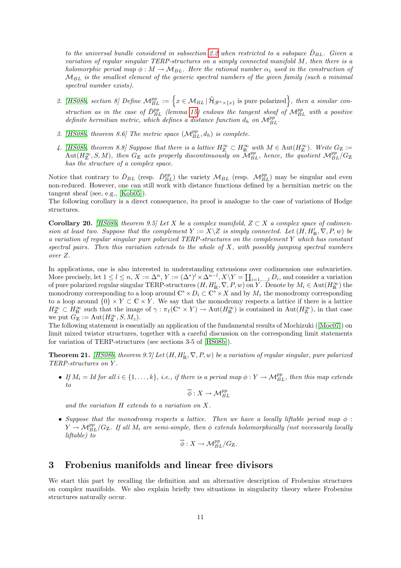to the universal bundle considered in subsection [2.2](#page-8-1) when restricted to a subspace  $\tilde{D}_{BL}$ . Given a variation of regular singular TERP-structures on a simply connected manifold M, then there is a holomorphic period map  $\phi : M \to M_{BL}$ . Here the rational number  $\alpha_1$  used in the construction of  $M_{BL}$  is the smallest element of the generic spectral numbers of the given family (such a minimal spectral number exists).

- 2. [\[HS08b,](#page-21-2) section 8] Define  $\mathcal{M}_{BL}^{pp} := \left\{ x \in \mathcal{M}_{BL} \, | \, \widehat{\mathcal{H}}_{|\mathbb{P}^1 \times \{x\}} \text{ is pure polarized} \right\}$ , then a similar construction as in the case of  $\check{D}_{BL}^{pp}$  (lemma [15\)](#page-10-0) endows the tangent sheaf of  $\mathcal{M}_{BL}^{pp}$  with a positive definite hermitian metric, which defines a distance function  $d_h$  on  $\mathcal{M}_{BL}^{pp}$ .
- 3. [\[HS08b,](#page-21-2) theorem 8.6] The metric space  $(M_{BL}^{pp}, d_h)$  is complete.
- 4. [\[HS08b,](#page-21-2) theorem 8.8] Suppose that there is a lattice  $H_{\mathbb{Z}}^{\infty} \subset H_{\mathbb{R}}^{\infty}$  with  $M \in \text{Aut}(H_{\mathbb{Z}}^{\infty})$ . Write  $G_{\mathbb{Z}} :=$  $\text{Aut}(H^{\infty}_{\mathbb{Z}},S,M)$ , then  $G_{\mathbb{Z}}$  acts properly discontinuously on  $\mathcal{M}_{BL}^{pp}$ , hence, the quotient  $\mathcal{M}_{BL}^{pp}/G_{\mathbb{Z}}$ has the structure of a complex space.

Notice that contrary to  $\check{D}_{BL}$  (resp.  $\check{D}_{BL}^{pp}$ ) the variety  $\mathcal{M}_{BL}$  (resp.  $\mathcal{M}_{BL}^{pp}$ ) may be singular and even non-reduced. However, one can still work with distance functions defined by a hermitian metric on the tangent sheaf (see, e.g., [\[Kob05\]](#page-22-10)).

The following corollary is a direct consequence, its proof is analogue to the case of variations of Hodge structures.

**Corollary 20.** [\[HS08b,](#page-21-2) theorem 9.5] Let X be a complex manifold,  $Z \subset X$  a complex space of codimension at least two. Suppose that the complement  $Y := X \setminus Z$  is simply connected. Let  $(H, H'_{\mathbb{R}}, \nabla, P, w)$  be a variation of regular singular pure polarized TERP-structures on the complement Y which has constant spectral pairs. Then this variation extends to the whole of  $X$ , with possibly jumping spectral numbers over Z.

In applications, one is also interested in understanding extensions over codimension one subvarieties. More precisely, let  $1 \leq l \leq n$ ,  $X := \Delta^n$ ,  $Y := (\Delta^*)^l \times \Delta^{n-l}$ ,  $X \setminus Y = \coprod_{i=1,\dots,l} D_i$ , and consider a variation of pure polarized regular singular TERP-structures  $(H, H'_{\mathbb{R}}, \nabla, P, w)$  on Y. Denote by  $M_i \in \text{Aut}(H^{\infty}_{\mathbb{R}})$  the monodromy corresponding to a loop around  $\mathbb{C}^* \times D_i \subset \mathbb{C}^* \times X$  and by  $M_z$  the monodromy corresponding to a loop around  ${0} \times Y \subset \mathbb{C} \times Y$ . We say that the monodromy respects a lattice if there is a lattice  $H^{\infty}_{\mathbb{Z}} \subset H^{\infty}_{\mathbb{R}}$  such that the image of  $\gamma : \pi_1(\mathbb{C}^* \times Y) \to \text{Aut}(H^{\infty}_{\mathbb{R}})$  is contained in  $\text{Aut}(H^{\infty}_{\mathbb{Z}})$ , in that case we put  $G_{\mathbb{Z}} := \text{Aut}(H_{\mathbb{Z}}^{\infty}, S, M_z).$ 

The following statement is essentially an application of the fundamental results of Mochizuki([\[Moc07\]](#page-22-7)) on limit mixed twistor structures, together with a careful discussion on the corresponding limit statements for variation of TERP-structures (see sections 3-5 of [\[HS08b\]](#page-21-2)).

**Theorem 21.** [\[HS08b,](#page-21-2) theorem 9.7] Let  $(H, H'_{R}, \nabla, P, w)$  be a variation of regular singular, pure polarized TERP-structures on Y .

• If  $M_i = Id$  for all  $i \in \{1, ..., k\}$ , i.e., if there is a period map  $\phi: Y \to \mathcal{M}_{BL}^{pp}$ , then this map extends to

 $\overline{\phi}: X \to {\mathcal M}^{pp}_{BL}$ 

and the variation H extends to a variation on X.

• Suppose that the monodromy respects a lattice. Then we have a locally liftable period map  $\phi$ :  $Y \to \mathcal{M}_{BL}^{pp}/G_{\mathbb{Z}}$ . If all  $M_i$  are semi-simple, then  $\phi$  extends holomorphically (not necessarily locally liftable) to

$$
\overline{\phi}: X \to \mathcal{M}_{BL}^{pp}/G_{\mathbb{Z}}.
$$

#### <span id="page-12-0"></span>3 Frobenius manifolds and linear free divisors

We start this part by recalling the definition and an alternative description of Frobenius structures on complex manifolds. We also explain briefly two situations in singularity theory where Frobenius structures naturally occur.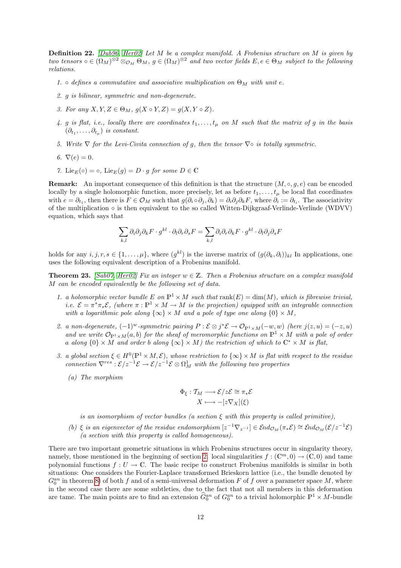Definition 22. [\[Dub96,](#page-21-10) [Her02\]](#page-21-11) Let M be a complex manifold. A Frobenius structure on M is given by two tensors  $\circ \in (\Omega_M)^{\otimes 2} \otimes_{\mathcal{O}_M} \Theta_M$ ,  $g \in (\Omega_M)^{\otimes 2}$  and two vector fields  $E, e \in \Theta_M$  subject to the following relations.

- 1. defines a commutative and associative multiplication on  $\Theta_M$  with unit e.
- 2. g is bilinear, symmetric and non-degenerate.
- 3. For any  $X, Y, Z \in \Theta_M$ ,  $q(X \circ Y, Z) = q(X, Y \circ Z)$ .
- 4. g is flat, i.e., locally there are coordinates  $t_1, \ldots, t_{\mu}$  on M such that the matrix of g in the basis  $(\partial_{t_1}, \ldots, \partial_{t_\mu})$  is constant.
- 5. Write  $\nabla$  for the Levi-Civita connection of g, then the tensor  $\nabla \circ$  is totally symmetric.
- 6.  $\nabla(e)=0$ .
- 7. Lie $E(\circ) = \circ$ , Lie $E(g) = D \cdot q$  for some  $D \in \mathbb{C}$

**Remark:** An important consequence of this definition is that the structure  $(M, \circ, g, e)$  can be encoded locally by a single holomorphic function, more precisely, let as before  $t_1, \ldots, t_\mu$  be local flat coordinates with  $e = \partial_{t_1}$ , then there is  $F \in \mathcal{O}_M$  such that  $g(\partial_i \circ \partial_j, \partial_k) = \partial_i \partial_j \partial_k F$ , where  $\partial_i := \partial_{t_i}$ . The associativity of the multiplication  $\circ$  is then equivalent to the so called Witten-Dijkgraaf-Verlinde-Verlinde (WDVV) equation, which says that

$$
\sum_{k,l} \partial_i \partial_j \partial_k F \cdot g^{kl} \cdot \partial_l \partial_r \partial_s F = \sum_{k,l} \partial_i \partial_r \partial_k F \cdot g^{kl} \cdot \partial_l \partial_j \partial_s F
$$

holds for any  $i, j, r, s \in \{1, \ldots, \mu\}$ , where  $(g^{kl})$  is the inverse matrix of  $(g(\partial_k, \partial_l))_{kl}$  In applications, one uses the following equivalent description of a Frobenius manifold.

**Theorem 23.** [\[Sab07,](#page-22-11) [Her02\]](#page-21-11) Fix an integer  $w \in \mathbb{Z}$ . Then a Frobenius structure on a complex manifold M can be encoded equivalently be the following set of data.

- 1. a holomorphic vector bundle E on  $\mathbb{P}^1 \times M$  such that  $rank(E) = dim(M)$ , which is fibrewise trivial, *i.e.*  $\mathcal{E} = \pi^* \pi_* \mathcal{E}$ , (where  $\pi : \mathbb{P}^1 \times M \to M$  is the projection) equipped with an integrable connection with a logarithmic pole along  $\{\infty\} \times M$  and a pole of type one along  $\{0\} \times M$ ,
- 2. a non-degenerate,  $(-1)^w$ -symmetric pairing  $P : \mathcal{E} \otimes j^* \mathcal{E} \to \mathcal{O}_{\mathbb{P}^1 \times M}(-w, w)$  (here  $j(z, u) = (-z, u)$ ) and we write  $\mathcal{O}_{\mathbb{P}^1\times M}(a, b)$  for the sheaf of meromorphic functions on  $\mathbb{P}^1\times M$  with a pole of order a along  $\{0\} \times M$  and order b along  $\{\infty\} \times M$ ) the restriction of which to  $\mathbb{C}^* \times M$  is flat,
- 3. a global section  $\xi \in H^0(\mathbb{P}^1 \times M, \mathcal{E})$ , whose restriction to  $\{\infty\} \times M$  is flat with respect to the residue connection  $\nabla^{res}: \mathcal{E}/z^{-1}\mathcal{E} \to \mathcal{E}/z^{-1}\mathcal{E} \otimes \Omega^1_M$  with the following two properties
	- (a) The morphism

$$
\Phi_{\xi}: \mathcal{T}_M \longrightarrow \mathcal{E}/z\mathcal{E} \cong \pi_*\mathcal{E}
$$

$$
X \longmapsto -[z\nabla_X](\xi)
$$

is an isomorphism of vector bundles (a section  $\xi$  with this property is called primitive),

(b)  $\xi$  is an eigenvector of the residue endomorphism  $[z^{-1}\nabla_{z^{-1}}] \in \mathcal{E}nd_{\mathcal{O}_M}(\pi_*\mathcal{E}) \cong \mathcal{E}nd_{\mathcal{O}_M}(\mathcal{E}/z^{-1}\mathcal{E})$ (a section with this property is called homogeneous).

There are two important geometric situations in which Frobenius structures occur in singularity theory, namely, those mentioned in the beginning of section [2:](#page-3-0) local singularities  $f : (\mathbb{C}^m, 0) \to (\mathbb{C}, 0)$  and tame polynomial functions  $f: U \to \mathbb{C}$ . The basic recipe to construct Frobenius manifolds is similar in both situations: One considers the Fourier-Laplace transformed Brieskorn lattice (i.e., the bundle denoted by  $G_0^{an}$  in theorem [8\)](#page-6-0) of both f and of a semi-universal deformation F of f over a parameter space M, where in the second case there are some subtleties, due to the fact that not all members in this deformation are tame. The main points are to find an extension  $\hat{G}_0^{an}$  of  $G_0^{an}$  to a trivial holomorphic  $\mathbb{P}^1 \times M$ -bundle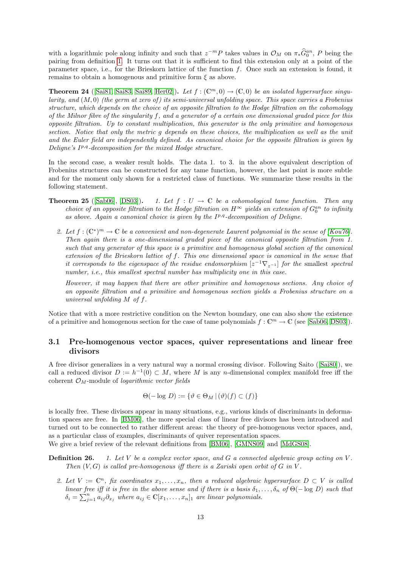with a logarithmic pole along infinity and such that  $z^{-m}P$  takes values in  $\mathcal{O}_M$  on  $\pi_*\widehat{G}_0^{an}$ , P being the pairing from definition [1.](#page-3-1) It turns out that it is sufficient to find this extension only at a point of the parameter space, i.e., for the Brieskorn lattice of the function  $f$ . Once such an extension is found, it remains to obtain a homogenous and primitive form  $\xi$  as above.

<span id="page-14-1"></span>**Theorem 24** ([\[Sai81,](#page-22-12) [Sai83,](#page-22-13) [Sai89,](#page-22-14) [Her02\]](#page-21-11)). Let  $f : (\mathbb{C}^m, 0) \to (\mathbb{C}, 0)$  be an isolated hypersurface singularity, and  $(M, 0)$  (the germ at zero of) its semi-universal unfolding space. This space carries a Frobenius structure, which depends on the choice of an opposite filtration to the Hodge filtration on the cohomology of the Milnor fibre of the singularity f, and a generator of a certain one dimensional graded piece for this  $opposite$  filtration. Up to constant multiplication, this generator is the only primitive and homogenous section. Notice that only the metric g depends on these choices, the multiplication as well as the unit and the Euler field are independently defined. As canonical choice for the opposite filtration is given by Deligne's I<sup>p,q</sup>-decomposition for the mixed Hodge structure.

In the second case, a weaker result holds. The data 1. to 3. in the above equivalent description of Frobenius structures can be constructed for any tame function, however, the last point is more subtle and for the moment only shown for a restricted class of functions. We summarize these results in the following statement.

- <span id="page-14-2"></span>**Theorem 25** ([\[Sab06\]](#page-22-5), [\[DS03\]](#page-21-12)). 1. Let  $f : U \to \mathbb{C}$  be a cohomological tame function. Then any choice of an opposite filtration to the Hodge filtration on  $H^{\infty}$  yields an extension of  $G_0^{an}$  to infinity as above. Again a canonical choice is given by the  $I^{p,q}$ -decomposition of Deligne.
	- 2. Let  $f: (\mathbb{C}^*)^m \to \mathbb{C}$  be a convenient and non-degenerate Laurent polynomial in the sense of [\[Kou76\]](#page-22-15). Then again there is a one-dimensional graded piece of the canonical opposite filtration from 1. such that any generator of this space is a primitive and homogenous global section of the canonical extension of the Brieskorn lattice of f. This one dimensional space is canonical in the sense that it corresponds to the eigenspace of the residue endomorphism  $[z^{-1}\nabla_{z^{-1}}]$  for the smallest spectral number, *i.e.*, this smallest spectral number has multiplicity one in this case.

However, it may happen that there are other primitive and homogenous sections. Any choice of an opposite filtration and a primitive and homogenous section yields a Frobenius structure on a universal unfolding M of f.

Notice that with a more restrictive condition on the Newton boundary, one can also show the existence of a primitive and homogenous section for the case of tame polynomials  $f: \mathbb{C}^m \to \mathbb{C}$  (see [\[Sab06,](#page-22-5) [DS03\]](#page-21-12)).

#### <span id="page-14-0"></span>3.1 Pre-homogenous vector spaces, quiver representations and linear free divisors

A free divisor generalizes in a very natural way a normal crossing divisor. Following Saito([\[Sai80\]](#page-22-16)), we call a reduced divisor  $D := h^{-1}(0) \subset M$ , where M is any n-dimensional complex manifold free iff the coherent  $\mathcal{O}_M$ -module of *logarithmic vector fields* 

$$
\Theta(-\log D) := \{ \vartheta \in \Theta_M \, | \, (\vartheta)(f) \subset (f) \}
$$

is locally free. These divisors appear in many situations, e.g., various kinds of discriminants in deformation spaces are free. In [\[BM06\]](#page-20-0), the more special class of linear free divisors has been introduced and turned out to be connected to rather different areas: the theory of pre-homogenous vector spaces, and, as a particular class of examples, discriminants of quiver representation spaces.

We give a brief review of the relevant definitions from [\[BM06\]](#page-20-0), [\[GMNS09\]](#page-21-13) and [\[MdGS08\]](#page-22-17).

**Definition 26.** 1. Let V be a complex vector space, and G a connected algebraic group acting on V. Then  $(V, G)$  is called pre-homogenous iff there is a Zariski open orbit of G in V.

2. Let  $V := \mathbb{C}^n$ , fix coordinates  $x_1, \ldots, x_n$ , then a reduced algebraic hypersurface  $D \subset V$  is called linear free iff it is free in the above sense and if there is a basis  $\delta_1, \ldots, \delta_n$  of  $\Theta(- \log D)$  such that  $\delta_i = \sum_{j=1}^n a_{ij} \partial_{x_j}$  where  $a_{ij} \in \mathbb{C}[x_1,\ldots,x_n]$  are linear polynomials.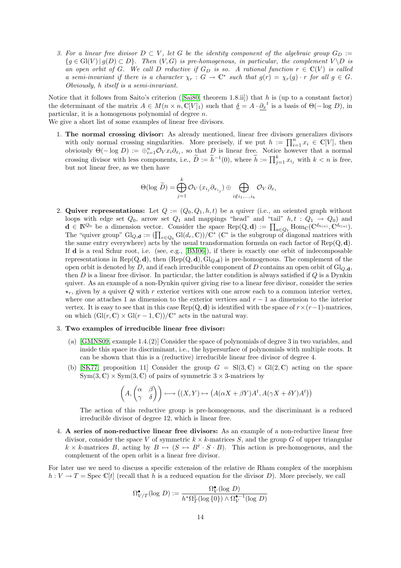3. For a linear free divisor  $D \subset V$ , let G be the identity component of the algebraic group  $G_D :=$  $\{g \in Gl(V) \mid g(D) \subset D\}$ . Then  $(V, G)$  is pre-homogenous, in particular, the complement  $V \backslash D$  is an open orbit of G. We call D reductive if  $G_D$  is so. A rational function  $r \in \mathbb{C}(V)$  is called a semi-invariant if there is a character  $\chi_r : G \to \mathbb{C}^*$  such that  $g(r) = \chi_r(g) \cdot r$  for all  $g \in G$ . Obviously, h itself is a semi-invariant.

Noticethat it follows from Saito's criterion ([\[Sai80,](#page-22-16) theorem 1.8.ii]) that h is (up to a constant factor) the determinant of the matrix  $A \in M(n \times n, \mathbb{C}[V]_1)$  such that  $\underline{\delta} = A \cdot \partial_x^{\phantom{x}t}$  is a basis of  $\Theta(-\log D)$ , in particular, it is a homogenous polynomial of degree  $n$ .

We give a short list of some examples of linear free divisors.

1. The normal crossing divisor: As already mentioned, linear free divisors generalizes divisors with only normal crossing singularities. More precisely, if we put  $h := \prod_{i=1}^n x_i \in \mathbb{C}[V]$ , then obviously  $\Theta(-\log D) := \bigoplus_{i=1}^n \mathcal{O}_V x_i \partial_{x_i}$ , so that D is linear free. Notice however that a normal crossing divisor with less components, i.e.,  $\tilde{D} := \tilde{h}^{-1}(0)$ , where  $\tilde{h} := \prod_{j=1}^{k} x_{i_j}$  with  $k < n$  is free, but not linear free, as we then have

$$
\Theta(\log \widetilde{D}) = \bigoplus_{j=1}^{k} \mathcal{O}_{V}(x_{i_{j}} \partial_{x_{i_{j}}}) \oplus \bigoplus_{i \notin i_{1},...,i_{k}} \mathcal{O}_{V} \partial_{x_{i}}
$$

2. Quiver representations: Let  $Q := (Q_0, Q_1, h, t)$  be a quiver (i.e., an oriented graph without loops with edge set  $Q_0$ , arrow set  $Q_1$  and mappings "head" and "tail"  $h, t : Q_1 \rightarrow Q_0$ ) and  $\mathbf{d} \in \mathbb{N}^{\mathcal{Q}_0}$  be a dimension vector. Consider the space  $\operatorname{Rep}(Q, \mathbf{d}) := \prod_{a \in \mathcal{Q}_1} \operatorname{Hom}_{\mathbb{C}}(\mathbb{C}^{d_{h(a)}}, \mathbb{C}^{d_{t(a)}}).$ The "quiver group"  $\text{Gl}_{Q,\mathbf{d}} := (\prod_{e \in Q_0} \text{Gl}(d_e, \mathbb{C})) / \mathbb{C}^*$  ( $\mathbb{C}^*$  is the subgroup of diagonal matrices with the same entry everywhere) acts by the usual transformation formula on each factor of  $\text{Rep}(Q, d)$ . If d is a real Schur root, i.e. (see, e.g., [\[BM06\]](#page-20-0)), if there is exactly one orbit of indecomposable representations in Rep(Q, d), then  $(\text{Rep}(Q, d), \text{Gl}_{Q, d})$  is pre-homogenous. The complement of the open orbit is denoted by D, and if each irreducible component of D contains an open orbit of  $Gl_{Q,d}$ , then  $D$  is a linear free divisor. In particular, the latter condition is always satisfied if  $Q$  is a Dynkin quiver. As an example of a non-Dynkin quiver giving rise to a linear free divisor, consider the series  $\star_r$ , given by a quiver Q with r exterior vertices with one arrow each to a common interior vertex, where one attaches 1 as dimension to the exterior vertices and  $r - 1$  as dimension to the interior vertex. It is easy to see that in this case Rep(Q, d) is identified with the space of  $r \times (r-1)$ -matrices, on which  $(\text{Gl}(r, \mathbb{C}) \times \text{Gl}(r-1, \mathbb{C})) / \mathbb{C}^*$  acts in the natural way.

#### 3. Two examples of irreducible linear free divisor:

- (a) [\[GMNS09,](#page-21-13) example 1.4.(2)] Consider the space of polynomials of degree 3 in two variables, and inside this space its discriminant, i.e., the hypersurface of polynomials with multiple roots. It can be shown that this is a (reductive) irreducible linear free divisor of degree 4.
- (b) [\[SK77,](#page-23-1) proposition 11] Consider the group  $G = Sl(3, \mathbb{C}) \times Gl(2, \mathbb{C})$  acting on the space  $Sym(3, \mathbb{C}) \times Sym(3, \mathbb{C})$  of pairs of symmetric  $3 \times 3$ -matrices by

$$
\left(A, \begin{pmatrix} \alpha & \beta \\ \gamma & \delta \end{pmatrix} \right) \longmapsto \left( (X, Y) \mapsto \left( A(\alpha X + \beta Y)A^t, A(\gamma X + \delta Y)A^t \right) \right)
$$

The action of this reductive group is pre-homogenous, and the discriminant is a reduced irreducible divisor of degree 12, which is linear free.

4. A series of non-reductive linear free divisors: As an example of a non-reductive linear free divisor, consider the space V of symmetric  $k \times k$ -matrices S, and the group G of upper triangular  $k \times k$ -matrices B, acting by  $B \mapsto (S \mapsto B^t \cdot S \cdot B)$ . This action is pre-homogenous, and the complement of the open orbit is a linear free divisor.

For later use we need to discuss a specific extension of the relative de Rham complex of the morphism  $h: V \to T = \text{Spec } \mathbb{C}[t]$  (recall that h is a reduced equation for the divisor D). More precisely, we call

$$
\Omega^{\bullet}_{V/T}(\log \, D):=\frac{\Omega^{\bullet}_{V}(\log \, D)}{h^{*}\Omega^{1}_{T}(\log \{0\})\wedge \Omega^{\bullet-1}_{V}(\log \, D)}
$$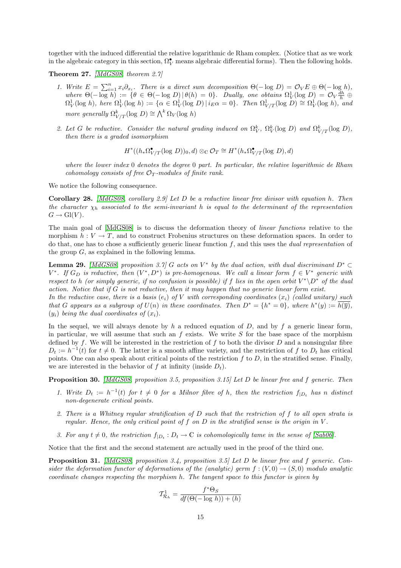together with the induced differential the relative logarithmic de Rham complex. (Notice that as we work in the algebraic category in this section,  $\Omega_V^{\bullet}$  means algebraic differential forms). Then the following holds.

Theorem 27. [\[MdGS08,](#page-22-17) theorem 2.7]

- 1. Write  $E = \sum_{i=1}^{n} x_i \partial_{x_i}$ . There is a direct sum decomposition  $\Theta(-\log D) = \mathcal{O}_V E \oplus \Theta(-\log h)$ , where  $\Theta(-\log h) := \{ \theta \in \Theta(-\log D) | \theta(h) = 0 \}.$  Dually, one obtains  $\Omega_V^1(\log D) = \mathcal{O}_V \frac{dh}{h} \oplus$  $\Omega^1_V(\log h)$ , here  $\Omega^1_V(\log h) := \{ \alpha \in \Omega^1_V(\log D) \, | \, i_E \alpha = 0 \}$ . Then  $\Omega^1_{V/T}(\log D) \cong \Omega^1_V(\log h)$ , and more generally  $\Omega^k_{V/T}(\log D) \cong \bigwedge^k \Omega_V(\log h)$
- 2. Let G be reductive. Consider the natural grading induced on  $\Omega_V^k$ ,  $\Omega_V^k(\log D)$  and  $\Omega_{V/T}^k(\log D)$ , then there is a graded isomorphism

 $H^*((h_*\Omega^{\bullet}_{V/T}(\log D))_0, d) \otimes_{\mathbb{C}} \mathcal{O}_T \cong H^*(h_*\Omega^{\bullet}_{V/T}(\log D), d)$ 

where the lower index 0 denotes the degree 0 part. In particular, the relative logarithmic de Rham cohomology consists of free  $\mathcal{O}_T$ -modules of finite rank.

We notice the following consequence.

**Corollary 28.** [\[MdGS08,](#page-22-17) corollary 2.9] Let D be a reductive linear free divisor with equation h. Then the character  $\chi_h$  associated to the semi-invariant h is equal to the determinant of the representation  $G \to Gl(V)$ .

The main goal of [\[MdGS08\]](#page-22-17) is to discuss the deformation theory of linear functions relative to the morphism  $h: V \to T$ , and to construct Frobenius structures on these deformation spaces. In order to do that, one has to chose a sufficiently generic linear function  $f$ , and this uses the *dual representation* of the group  $G$ , as explained in the following lemma.

**Lemma 29.** [\[MdGS08,](#page-22-17) proposition 3.7] G acts on  $V^*$  by the dual action, with dual discriminant  $D^* \subset$  $V^*$ . If  $G_D$  is reductive, then  $(V^*, D^*)$  is pre-homogenous. We call a linear form  $f \in V^*$  generic with respect to h (or simply generic, if no confusion is possible) if f lies in the open orbit  $V^*\backslash D^*$  of the dual action. Notice that if  $G$  is not reductive, then it may happen that no generic linear form exist.

In the reductive case, there is a basis  $(e_i)$  of V with corresponding coordinates  $(x_i)$  (called unitary) such that G appears as a subgroup of  $U(n)$  in these coordinates. Then  $D^* = \{h^* = 0\}$ , where  $h^*(y) := \overline{h(\overline{y})}$ ,  $(y_i)$  being the dual coordinates of  $(x_i)$ .

In the sequel, we will always denote by h a reduced equation of  $D$ , and by f a generic linear form, in particular, we will assume that such an  $f$  exists. We write  $S$  for the base space of the morphism defined by f. We will be interested in the restriction of f to both the divisor  $D$  and a nonsingular fibre  $D_t := h^{-1}(t)$  for  $t \neq 0$ . The latter is a smooth affine variety, and the restriction of f to  $D_t$  has critical points. One can also speak about critical points of the restriction  $f$  to  $D$ , in the stratified sense. Finally, we are interested in the behavior of f at infinity (inside  $D_t$ ).

Proposition 30. [\[MdGS08,](#page-22-17) proposition 3.5, proposition 3.15] Let D be linear free and f generic. Then

- 1. Write  $D_t := h^{-1}(t)$  for  $t \neq 0$  for a Milnor fibre of h, then the restriction  $f_{|D_t}$  has n distinct non-degenerate critical points.
- 2. There is a Whitney regular stratification of D such that the restriction of f to all open strata is regular. Hence, the only critical point of f on  $D$  in the stratified sense is the origin in  $V$ .
- 3. For any  $t \neq 0$ , the restriction  $f_{|D_t} : D_t \to \mathbb{C}$  is cohomologically tame in the sense of [\[Sab06\]](#page-22-5).

Notice that the first and the second statement are actually used in the proof of the third one.

Proposition 31. [\[MdGS08,](#page-22-17) proposition 3.4, proposition 3.5] Let D be linear free and f generic. Consider the deformation functor of deformations of the (analytic) germ  $f : (V, 0) \rightarrow (S, 0)$  modulo analytic coordinate changes respecting the morphism h. The tangent space to this functor is given by

$$
\mathcal{T}_{\mathcal{R}_h}^1 = \frac{f^* \Theta_S}{df(\Theta(-\log h)) + (h)}
$$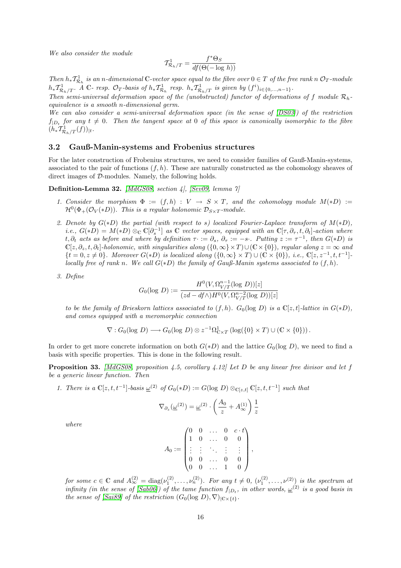We also consider the module

$$
\mathcal{T}^1_{\mathcal{R}_h/T} = \frac{f^*\Theta_S}{df(\Theta(-\log \, h))}
$$

Then  $h_*T^1_{\mathcal{R}_h}$  is an n-dimensional C-vector space equal to the fibre over  $0 \in T$  of the free rank n  $\mathcal{O}_T$ -module  $h_*\mathcal{T}_{\mathcal{R}_h/T}^1$ . A C- resp.  $\mathcal{O}_T$ -basis of  $h_*\mathcal{T}_{\mathcal{R}_h}^1$  resp.  $h_*\mathcal{T}_{\mathcal{R}_h/T}^1$  is given by  $(f^i)_{i \in \{0,\ldots,n-1\}}$ .

Then semi-universal deformation space of the (unobstructed) functor of deformations of f module  $\mathcal{R}_h$ equivalence is a smooth n-dimensional germ.

We can also consider a semi-universal deformation space (in the sense of  $[DS03]$ ) of the restriction  $f_{|D_t}$  for any  $t \neq 0$ . Then the tangent space at 0 of this space is canonically isomorphic to the fibre  $(h_*T^1_{\mathcal{R}_h/T}(f))_{|t}.$ 

#### <span id="page-17-1"></span>3.2 Gauß-Manin-systems and Frobenius structures

For the later construction of Frobenius structures, we need to consider families of Gauß-Manin-systems, associated to the pair of functions  $(f, h)$ . These are naturally constructed as the cohomology sheaves of direct images of D-modules. Namely, the following holds.

Definition-Lemma 32. [\[MdGS08,](#page-22-17) section 4], [\[Sev09,](#page-22-18) lemma 7]

- 1. Consider the morphism  $\Phi := (f,h) : V \to S \times T$ , and the cohomology module  $M(*D) :=$  $\mathcal{H}^0(\Phi_+(\mathcal{O}_V(*D)).$  This is a regular holonomic  $\mathcal{D}_{S\times T}$ -module.
- 2. Denote by  $G(*D)$  the partial (with respect to s) localized Fourier-Laplace transform of  $M(*D)$ , i.e.,  $G(*D) = M(*D) \otimes_{\mathbb{C}} \mathbb{C}[\partial_s^{-1}]$  as  $\mathbb{C}$  vector spaces, equipped with an  $\mathbb{C}[\tau, \partial_\tau, t, \partial_t]$ -action where t,  $\partial_t$  acts as before and where by definition  $\tau \cdot := \partial_s$ ,  $\partial_\tau := -s \cdot$ . Putting  $z := \tau^{-1}$ , then  $G(*D)$  is  $\mathbb{C}[z, \partial_z, t, \partial_t]$ -holonomic, with singularities along  $(\{0, \infty\} \times T) \cup (\mathbb{C} \times \{0\})$ , regular along  $z = \infty$  and  $\{t = 0, z \neq 0\}$ . Moreover  $G(*D)$  is localized along  $(\{0, \infty\} \times T) \cup (\mathbb{C} \times \{0\})$ , i.e.,  $\mathbb{C}[z, z^{-1}, t, t^{-1}]$ . locally free of rank n. We call  $G(*D)$  the family of Gauß-Manin systems associated to  $(f,h)$ .
- 3. Define

$$
G_0(\log D) := \frac{H^0(V, \Omega_{V/T}^{n-1}(\log D))[z]}{(zd - df \wedge)H^0(V, \Omega_{V/T}^{n-2}(\log D))[z]}
$$

to be the family of Brieskorn lattices associated to  $(f, h)$ .  $G_0(\log D)$  is a  $\mathbb{C}[z, t]$ -lattice in  $G(*D)$ , and comes equipped with a meromorphic connection

$$
\nabla: G_0(\log D) \longrightarrow G_0(\log D) \otimes z^{-1}\Omega^1_{\mathbb{C} \times T} (\log(\{0\} \times T) \cup (\mathbb{C} \times \{0\})).
$$

In order to get more concrete information on both  $G(*D)$  and the lattice  $G_0(\log D)$ , we need to find a basis with specific properties. This is done in the following result.

<span id="page-17-0"></span>**Proposition 33.** [\[MdGS08,](#page-22-17) proposition 4.5, corollary 4.12] Let D be any linear free divisor and let f be a generic linear function. Then

1. There is a 
$$
\mathbb{C}[z, t, t^{-1}]
$$
-basis  $\underline{\omega}^{(2)}$  of  $G_0(*D) := G(\log D) \otimes_{\mathbb{C}[z, t]} \mathbb{C}[z, t, t^{-1}]$  such that

$$
\nabla_{\partial_z}(\underline{\omega}^{(2)}) = \underline{\omega}^{(2)} \cdot \left(\frac{A_0}{z} + A_{\infty}^{(1)}\right) \frac{1}{z}
$$

where

$$
A_0 := \begin{pmatrix} 0 & 0 & \dots & 0 & c \cdot t \\ 1 & 0 & \dots & 0 & 0 \\ \vdots & \vdots & \ddots & \vdots & \vdots \\ 0 & 0 & \dots & 0 & 0 \\ 0 & 0 & \dots & 1 & 0 \end{pmatrix},
$$

for some  $c \in \mathbb{C}$  and  $A_{\infty}^{(2)} = \text{diag}(\nu_1^{(2)}, \dots, \nu_n^{(2)})$ . For any  $t \neq 0$ ,  $(\nu_1^{(2)}, \dots, \nu^{(2)})$  is the spectrum at infinity (in the sense of [\[Sab06\]](#page-22-5)) of the tame function  $f_{|D_t}$ , in other words,  $\underline{\omega}^{(2)}$  is a good basis in the sense of [\[Sai89\]](#page-22-14) of the restriction  $(G_0(\log D), \nabla)_{|\mathbb{C}\times\{t\}}$ .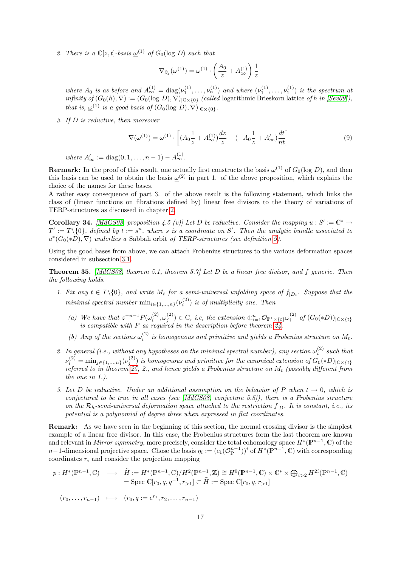2. There is a  $\mathbb{C}[z,t]$ -basis  $\underline{\omega}^{(1)}$  of  $G_0(\log D)$  such that

$$
\nabla_{\partial_z}(\underline{\omega}^{(1)}) = \underline{\omega}^{(1)} \cdot \left(\frac{A_0}{z} + A_{\infty}^{(1)}\right) \frac{1}{z}
$$

where  $A_0$  is as before and  $A_{\infty}^{(1)} = \text{diag}(\nu_1^{(1)}, \dots, \nu_n^{(1)})$  and where  $(\nu_1^{(1)}, \dots, \nu_1^{(1)})$  is the spectrum at infinity of  $(G_0(h), \nabla) := (G_0(\log D), \nabla)_{|\mathbb{C} \times \{0\}}$  (called logarithmic Brieskorn lattice of h in [\[Sev09\]](#page-22-18)), that is,  $\underline{\omega}^{(1)}$  is a good basis of  $(G_0(\log D), \nabla)|_{\mathbb{C} \times \{0\}}$ .

3. If D is reductive, then moreover

$$
\nabla(\underline{\omega}^{(1)}) = \underline{\omega}^{(1)} \cdot \left[ (A_0 \frac{1}{z} + A_{\infty}^{(1)}) \frac{dz}{z} + (-A_0 \frac{1}{z} + A_{\infty}') \frac{dt}{nt} \right]
$$
(9)

where  $A'_{\infty} := \text{diag}(0, 1, \dots, n-1) - A_{\infty}^{(1)}$ .

**Rermark:** In the proof of this result, one actually first constructs the basis  $\underline{\omega}^{(1)}$  of  $G_0(\log D)$ , and then this basis can be used to obtain the basis  $\omega^{(2)}$  in part 1. of the above proposition, which explains the choice of the names for these bases.

A rather easy consequence of part 3. of the above result is the following statement, which links the class of (linear functions on fibrations defined by) linear free divisors to the theory of variations of TERP-structures as discussed in chapter [2.](#page-3-0)

Corollary 34. [\[MdGS08,](#page-22-17) proposition 4.5 (v)] Let D be reductive. Consider the mapping  $u : S' := \mathbb{C}^* \to$  $T' := T \setminus \{0\}$ , defined by  $t := s^n$ , where s is a coordinate on S'. Then the analytic bundle associated to  $u^*(G_0(*D), \nabla)$  underlies a Sabbah orbit of TERP-structures (see definition [9\)](#page-7-2).

Using the good bases from above, we can attach Frobenius structures to the various deformation spaces considered in subsection [3.1.](#page-14-0)

<span id="page-18-0"></span>**Theorem 35.** [\[MdGS08,](#page-22-17) theorem 5.1, theorem 5.7] Let D be a linear free divisor, and f generic. Then the following holds.

- 1. Fix any  $t \in T \setminus \{0\}$ , and write  $M_t$  for a semi-universal unfolding space of  $f_{|D_t}$ . Suppose that the minimal spectral number  $\min_{i \in \{1,...,n\}} (\nu_i^{(2)})$  is of multiplicity one. Then
	- (a) We have that  $z^{-n-1}P(\omega_i^{(2)},\omega_j^{(2)}) \in \mathbb{C}$ , i.e, the extension  $\bigoplus_{i=1}^n \mathcal{O}_{\mathbb{P}^1 \times \{t\}}\omega_i^{(2)}$  of  $(G_0(*D))_{|\mathbb{C} \times \{t\}}$ is compatible with P as required in the description before theorem [24.](#page-14-1)
	- (b) Any of the sections  $\omega_i^{(2)}$  is homogenous and primitive and yields a Frobenius structure on  $M_t$ .
- 2. In general (i.e., without any hypotheses on the minimal spectral number), any section  $\omega_i^{(2)}$  such that  $\nu_i^{(2)}=\min_{j\in\{1,...,n\}}(\nu_j^{(2)})$  is homogenous and primitive for the canonical extension of  $G_0(*D)_{|\mathbb C\times\{t\}}$ referred to in theorem [25,](#page-14-2) 2., and hence yields a Frobenius structure on  $M_t$  (possibly different from the one in 1.).
- 3. Let D be reductive. Under an additional assumption on the behavior of P when  $t \to 0$ , which is conjectured to be true in all cases (see [\[MdGS08,](#page-22-17) conjecture 5.5]), there is a Frobenius structure on the  $\mathcal{R}_h$ -semi-universal deformation space attached to the restriction  $f_{|D}$ . It is constant, i.e., its potential is a polynomial of degree three when expressed in flat coordinates.

Remark: As we have seen in the beginning of this section, the normal crossing divisor is the simplest example of a linear free divisor. In this case, the Frobenius structures form the last theorem are known and relevant in Mirror symmetry, more precisely, consider the total cohomology space  $H^*(\mathbb{P}^{n-1}, \mathbb{C})$  of the n−1-dimensional projective space. Chose the basis  $\eta_i := (c_1(\mathcal{O}_{\mathbb{P}}^{n-1}))^i$  of  $H^*(\mathbb{P}^{n-1}, \mathbb{C})$  with corresponding coordinates  $r_i$  and consider the projection mapping

$$
p: H^*(\mathbb{P}^{n-1}, \mathbb{C}) \longrightarrow \widetilde{H} := H^*(\mathbb{P}^{n-1}, \mathbb{C})/H^2(\mathbb{P}^{n-1}, \mathbb{Z}) \cong H^0(\mathbb{P}^{n-1}, \mathbb{C}) \times \mathbb{C}^* \times \bigoplus_{i>2} H^{2i}(\mathbb{P}^{n-1}, \mathbb{C})
$$
  
= Spec  $\mathbb{C}[r_0, q, q^{-1}, r_{>1}] \subset \widehat{H} := \text{Spec } \mathbb{C}[r_0, q, r_{>1}]$ 

$$
(r_0, \ldots, r_{n-1}) \longmapsto (r_0, q := e^{r_1}, r_2, \ldots, r_{n-1})
$$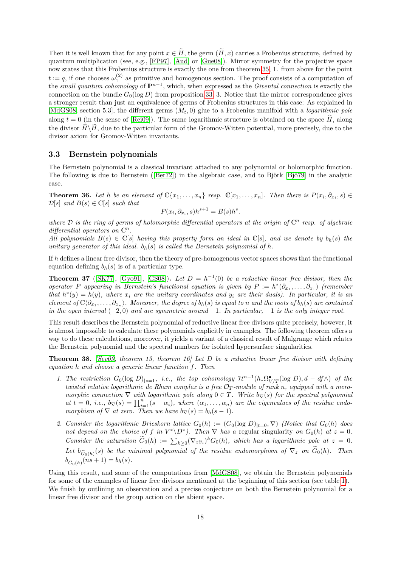Then it is well known that for any point  $x \in \tilde{H}$ , the germ  $(\tilde{H}, x)$  carries a Frobenius structure, defined by quantum multiplication (see, e.g., [\[FP97\]](#page-21-14), [\[Aud\]](#page-20-1) or [\[Gue08\]](#page-21-15)). Mirror symmetry for the projective space now states that this Frobenius structure is exactly the one from theorem [35,](#page-18-0) 1. from above for the point  $t := q$ , if one chooses  $\omega_1^{(2)}$  as primitive and homogenous section. The proof consists of a computation of the small quantum cohomology of  $\mathbb{P}^{n-1}$ , which, when expressed as the Givental connection is exactly the connection on the bundle  $G_0(\log D)$  from proposition [33,](#page-17-0) 3. Notice that the mirror correspondence gives a stronger result than just an equivalence of germs of Frobenius structures in this case: As explained in [\[MdGS08,](#page-22-17) section 5.3], the different germs  $(M_t, 0)$  glue to a Frobenius manifold with a *logarithmic pole* along  $t = 0$  (in the sense of [\[Rei09\]](#page-22-19)). The same logarithmic structure is obtained on the space  $\hat{H}$ , along the divisor  $\widehat{H}\setminus\widetilde{H}$ , due to the particular form of the Gromov-Witten potential, more precisely, due to the divisor axiom for Gromov-Witten invariants.

#### 3.3 Bernstein polynomials

The Bernstein polynomial is a classical invariant attached to any polynomial or holomorphic function. Thefollowing is due to Bernstein ( $[Ber72]$ ) in the algebraic case, and to Björk  $[Bi\ddot{o}79]$  in the analytic case.

**Theorem 36.** Let h be an element of  $\mathbb{C}\{x_1,\ldots,x_n\}$  resp.  $\mathbb{C}[x_1,\ldots,x_n]$ . Then there is  $P(x_i,\partial_{x_i},s) \in$  $\mathcal{D}[s]$  and  $B(s) \in \mathbb{C}[s]$  such that

$$
P(x_i, \partial_{x_i}, s)h^{s+1} = B(s)h^s.
$$

where  $\mathcal D$  is the ring of germs of holomorphic differential operators at the origin of  $\mathbb C^n$  resp. of algebraic differential operators on  $\mathbb{C}^n$ .

All polynomials  $B(s) \in \mathbb{C}[s]$  having this property form an ideal in  $\mathbb{C}[s]$ , and we denote by  $b_h(s)$  the unitary generator of this ideal.  $b_h(s)$  is called the Bernstein polynomial of h.

If h defines a linear free divisor, then the theory of pre-homogenous vector spaces shows that the functional equation defining  $b_h(s)$  is of a particular type.

**Theorem 37** ([\[SK77\]](#page-23-1), [\[Gyo91\]](#page-21-16), [\[GS08\]](#page-21-17)). Let  $D = h^{-1}(0)$  be a reductive linear free divisor, then the operator P appearing in Bernstein's functional equation is given by  $P := h^*(\partial_{x_1}, \ldots, \partial_{x_1})$  (remember that  $h^*(y) = \overline{h(\overline{y})}$ , where  $x_i$  are the unitary coordinates and  $y_i$  are their duals). In particular, it is an element of  $\mathbb{C}\langle \partial_{x_1},\ldots,\partial_{x_n}\rangle$ . Moreover, the degree of  $b_h(s)$  is equal to n and the roots of  $b_h(s)$  are contained in the open interval  $(-2, 0)$  and are symmetric around  $-1$ . In particular,  $-1$  is the only integer root.

This result describes the Bernstein polynomial of reductive linear free divisors quite precisely, however, it is almost impossible to calculate these polynomials explicitly in examples. The following theorem offers a way to do these calculations, moreover, it yields a variant of a classical result of Malgrange which relates the Bernstein polynomial and the spectral numbers for isolated hypersurface singularities.

**Theorem 38.** [\[Sev09,](#page-22-18) theorem 13, theorem 16] Let D be a reductive linear free divisor with defining equation h and choose a generic linear function f. Then

- 1. The restriction  $G_0(\log D)_{|z=1}$ , i.e., the top cohomology  $\mathcal{H}^{n-1}(h_*\Omega^{\bullet}_{V/T}(\log D), d df \wedge)$  of the twisted relative logarithmic de Rham complex is a free  $\mathcal{O}_T$ -module of rank n, equipped with a meromorphic connection  $\nabla$  with logarithmic pole along  $0 \in T$ . Write  $b_{\nabla}(s)$  for the spectral polynomial at  $t = 0$ , i.e.,  $b_{\nabla}(s) = \prod_{i=1}^{n} (s - \alpha_i)$ , where  $(\alpha_1, \ldots, \alpha_n)$  are the eigenvalues of the residue endomorphism of  $\nabla$  at zero. Then we have  $b_{\nabla}(s) = b_h(s-1)$ .
- 2. Consider the logarithmic Brieskorn lattice  $G_0(h) := (G_0(\log D)_{t=0}, \nabla)$  (Notice that  $G_0(h)$  does not depend on the choice of f in  $V^*\D^*$ ). Then  $\nabla$  has a regular singularity on  $G_0(h)$  at  $z=0$ . Consider the saturation  $\tilde{G}_0(h) := \sum_{k \geq 0} (\nabla_z \partial_z)^k G_0(h)$ , which has a logarithmic pole at  $z = 0$ . Let  $b_{\widetilde{G}_0(h)}(s)$  be the minimal polynomial of the residue endomorphism of  $\nabla_z$  on  $G_0(h)$ . Then  $b_{\tilde{G}_0(h)}(ns + 1) = b_h(s).$

Using this result, and some of the computations from [\[MdGS08\]](#page-22-17), we obtain the Bernstein polynomials for some of the examples of linear free divisors mentioned at the beginning of this section (see table [1\)](#page-20-4). We finish by outlining an observation and a precise conjecture on both the Bernstein polynomial for a linear free divisor and the group action on the abient space.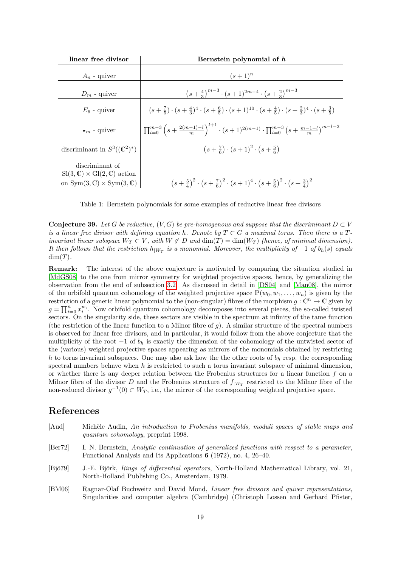| linear free divisor                                                                                                      | Bernstein polynomial of h                                                                                                                       |
|--------------------------------------------------------------------------------------------------------------------------|-------------------------------------------------------------------------------------------------------------------------------------------------|
| $A_n$ - quiver                                                                                                           | $(s+1)^n$                                                                                                                                       |
| $D_m$ - quiver                                                                                                           | $(s+\frac{4}{3})^{m-3} \cdot (s+1)^{2m-4} \cdot (s+\frac{2}{3})^{m-3}$                                                                          |
| $E_6$ - quiver                                                                                                           | $(s+\frac{7}{5})\cdot(s+\frac{4}{3})^4\cdot(s+\frac{6}{5})\cdot(s+1)^{10}\cdot(s+\frac{4}{5})\cdot(s+\frac{2}{3})^4\cdot(s+\frac{3}{5})$        |
| $\star_m$ - quiver                                                                                                       | $\prod_{l=0}^{m-3} \left(s+\frac{2(m-1)-l}{m}\right)^{l+1} \cdot (s+1)^{2(m-1)} \cdot \prod_{l=0}^{m-3} \left(s+\frac{m-1-l}{m}\right)^{m-l-2}$ |
| discriminant in $S^3((\mathbb{C}^2)^*)$                                                                                  | $(s+\frac{7}{6}) \cdot (s+1)^2 \cdot (s+\frac{5}{6})$                                                                                           |
| discriminant of<br>$Sl(3,\mathbb{C})\times Gl(2,\mathbb{C})$ action<br>on $Sym(3, \mathbb{C}) \times Sym(3, \mathbb{C})$ | $(s+\frac{5}{4})^2 \cdot (s+\frac{7}{6})^2 \cdot (s+1)^4 \cdot (s+\frac{5}{6})^2 \cdot (s+\frac{3}{4})^2$                                       |

<span id="page-20-4"></span>Table 1: Bernstein polynomials for some examples of reductive linear free divisors

**Conjecture 39.** Let G be reductive,  $(V, G)$  be pre-homogenous and suppose that the discriminant  $D \subset V$ is a linear free divisor with defining equation h. Denote by  $T \subset G$  a maximal torus. Then there is a Tinvariant linear subspace  $W_T \subset V$ , with  $W \not\subset D$  and  $\dim(T) = \dim(W_T)$  (hence, of minimal dimension). It then follows that the restriction  $h_{|W_T}$  is a monomial. Moreover, the multiplicity of  $-1$  of  $b_h(s)$  equals  $dim(T)$ .

Remark: The interest of the above conjecture is motivated by comparing the situation studied in [\[MdGS08\]](#page-22-17) to the one from mirror symmetry for weighted projective spaces, hence, by generalizing the observation from the end of subsection [3.2.](#page-17-1) As discussed in detail in [\[DS04\]](#page-21-18) and [\[Man08\]](#page-22-20), the mirror of the orbifold quantum cohomology of the weighted projective space  $\mathbb{P}(w_0, w_1, \ldots, w_n)$  is given by the restriction of a generic linear polynomial to the (non-singular) fibres of the morphism  $g: \mathbb{C}^n \to \mathbb{C}$  given by  $g = \prod_{i=0}^n x_i^{w_i}$ . Now orbifold quantum cohomology decomposes into several pieces, the so-called twisted sectors. On the singularity side, these sectors are visible in the spectrum at infinity of the tame function (the restriction of the linear function to a Milnor fibre of g). A similar structure of the spectral numbers is observed for linear free divisors, and in particular, it would follow from the above conjecture that the multiplicity of the root  $-1$  of  $b<sub>h</sub>$  is exactly the dimension of the cohomology of the untwisted sector of the (various) weighted projective spaces appearing as mirrors of the monomials obtained by restricting h to torus invariant subspaces. One may also ask how the the other roots of  $b<sub>h</sub>$  resp. the corresponding spectral numbers behave when  $h$  is restricted to such a torus invariant subspace of minimal dimension, or whether there is any deeper relation between the Frobenius structures for a linear function  $f$  on a Milnor fibre of the divisor D and the Frobenius structure of  $f_{|W_T}$  restricted to the Milnor fibre of the non-reduced divisor  $g^{-1}(0) \subset W_T$ , i.e., the mirror of the corresponding weighted projective space.

#### References

- <span id="page-20-2"></span><span id="page-20-1"></span>[Aud] Michèle Audin, An introduction to Frobenius manifolds, moduli spaces of stable maps and quantum cohomology, preprint 1998. [Ber72] I. N. Bernstein, Analytic continuation of generalized functions with respect to a parameter, Functional Analysis and Its Applications 6 (1972), no. 4, 26–40. [Bjö79] J.-E. Björk, Rings of differential operators, North-Holland Mathematical Library, vol. 21, North-Holland Publishing Co., Amsterdam, 1979.
- <span id="page-20-3"></span><span id="page-20-0"></span>[BM06] Ragnar-Olaf Buchweitz and David Mond, Linear free divisors and quiver representations, Singularities and computer algebra (Cambridge) (Christoph Lossen and Gerhard Pfister,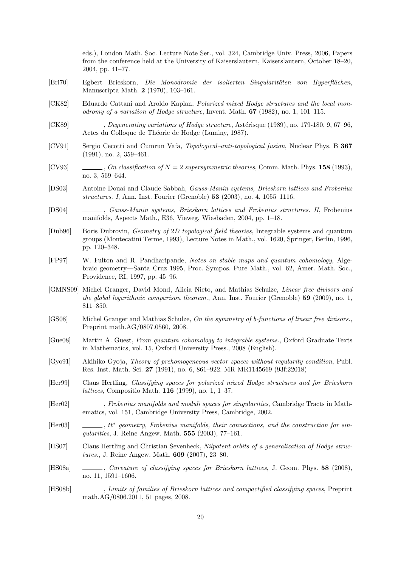eds.), London Math. Soc. Lecture Note Ser., vol. 324, Cambridge Univ. Press, 2006, Papers from the conference held at the University of Kaiserslautern, Kaiserslautern, October 18–20, 2004, pp. 41–77.

- <span id="page-21-6"></span>[Bri70] Egbert Brieskorn, Die Monodromie der isolierten Singularitäten von Hyperflächen, Manuscripta Math. 2 (1970), 103–161.
- <span id="page-21-7"></span>[CK82] Eduardo Cattani and Aroldo Kaplan, Polarized mixed Hodge structures and the local monodromy of a variation of Hodge structure, Invent. Math.  $67$  (1982), no. 1, 101–115.
- <span id="page-21-8"></span>[CK89] , Degenerating variations of Hodge structure, Astérisque (1989), no. 179-180, 9, 67–96, Actes du Colloque de Théorie de Hodge (Luminy, 1987).
- <span id="page-21-3"></span>[CV91] Sergio Cecotti and Cumrun Vafa, Topological–anti-topological fusion, Nuclear Phys. B 367 (1991), no. 2, 359–461.
- <span id="page-21-4"></span>[CV93]  $\qquad \qquad \qquad \ldots$ , On classification of  $N = 2$  supersymmetric theories, Comm. Math. Phys. 158 (1993), no. 3, 569–644.
- <span id="page-21-12"></span>[DS03] Antoine Douai and Claude Sabbah, Gauss-Manin systems, Brieskorn lattices and Frobenius structures. I, Ann. Inst. Fourier (Grenoble) 53 (2003), no. 4, 1055–1116.
- <span id="page-21-18"></span>[DS04] , Gauss-Manin systems, Brieskorn lattices and Frobenius structures. II, Frobenius manifolds, Aspects Math., E36, Vieweg, Wiesbaden, 2004, pp. 1–18.
- <span id="page-21-10"></span>[Dub96] Boris Dubrovin, Geometry of 2D topological field theories, Integrable systems and quantum groups (Montecatini Terme, 1993), Lecture Notes in Math., vol. 1620, Springer, Berlin, 1996, pp. 120–348.
- <span id="page-21-14"></span>[FP97] W. Fulton and R. Pandharipande, Notes on stable maps and quantum cohomology, Algebraic geometry—Santa Cruz 1995, Proc. Sympos. Pure Math., vol. 62, Amer. Math. Soc., Providence, RI, 1997, pp. 45–96.
- <span id="page-21-13"></span>[GMNS09] Michel Granger, David Mond, Alicia Nieto, and Mathias Schulze, Linear free divisors and the global logarithmic comparison theorem., Ann. Inst. Fourier (Grenoble) 59 (2009), no. 1, 811–850.
- <span id="page-21-17"></span>[GS08] Michel Granger and Mathias Schulze, On the symmetry of b-functions of linear free divisors., Preprint math.AG/0807.0560, 2008.
- <span id="page-21-15"></span>[Gue08] Martin A. Guest, From quantum cohomology to integrable systems., Oxford Graduate Texts in Mathematics, vol. 15, Oxford University Press., 2008 (English).
- <span id="page-21-16"></span>[Gyo91] Akihiko Gyoja, Theory of prehomogeneous vector spaces without regularity condition, Publ. Res. Inst. Math. Sci. 27 (1991), no. 6, 861–922. MR MR1145669 (93f:22018)
- <span id="page-21-9"></span>[Her99] Claus Hertling, Classifying spaces for polarized mixed Hodge structures and for Brieskorn lattices, Compositio Math. 116 (1999), no. 1, 1–37.
- <span id="page-21-11"></span>[Her02] , Frobenius manifolds and moduli spaces for singularities, Cambridge Tracts in Mathematics, vol. 151, Cambridge University Press, Cambridge, 2002.
- <span id="page-21-5"></span> $[Her03]$  $\Box$ , tt\* geometry, Frobenius manifolds, their connections, and the construction for singularities, J. Reine Angew. Math. 555 (2003), 77–161.
- <span id="page-21-0"></span>[HS07] Claus Hertling and Christian Sevenheck, Nilpotent orbits of a generalization of Hodge structures., J. Reine Angew. Math. 609 (2007), 23–80.
- <span id="page-21-1"></span>[HS08a] , Curvature of classifying spaces for Brieskorn lattices, J. Geom. Phys. 58 (2008), no. 11, 1591–1606.
- <span id="page-21-2"></span>[HS08b] , Limits of families of Brieskorn lattices and compactified classifying spaces, Preprint math.AG/0806.2011, 51 pages, 2008.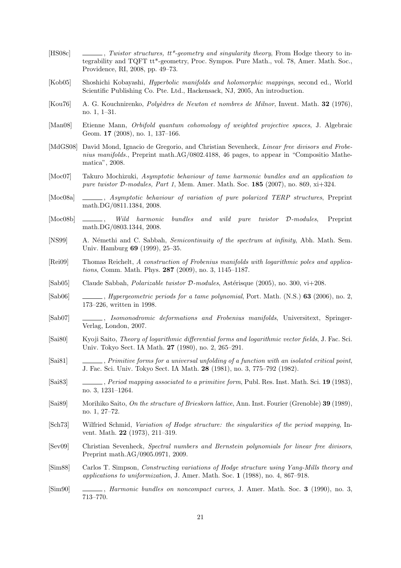- <span id="page-22-3"></span>[HS08c] , Twistor structures,  $tt^*$ -geometry and singularity theory, From Hodge theory to integrability and TQFT tt\*-geometry, Proc. Sympos. Pure Math., vol. 78, Amer. Math. Soc., Providence, RI, 2008, pp. 49–73.
- <span id="page-22-10"></span>[Kob05] Shoshichi Kobayashi, Hyperbolic manifolds and holomorphic mappings, second ed., World Scientific Publishing Co. Pte. Ltd., Hackensack, NJ, 2005, An introduction.
- <span id="page-22-15"></span>[Kou76] A. G. Kouchnirenko, Poly`edres de Newton et nombres de Milnor, Invent. Math. 32 (1976), no. 1, 1–31.
- <span id="page-22-20"></span>[Man08] Etienne Mann, Orbifold quantum cohomology of weighted projective spaces, J. Algebraic Geom. 17 (2008), no. 1, 137–166.
- <span id="page-22-17"></span>[MdGS08] David Mond, Ignacio de Gregorio, and Christian Sevenheck, *Linear free divisors and Frobe*nius manifolds., Preprint math.AG/0802.4188, 46 pages, to appear in "Compositio Mathematica", 2008.
- <span id="page-22-7"></span>[Moc07] Takuro Mochizuki, Asymptotic behaviour of tame harmonic bundles and an application to pure twistor D-modules, Part 1, Mem. Amer. Math. Soc. 185 (2007), no. 869, xi+324.
- <span id="page-22-8"></span>[Moc08a]  $\_\_\_\_\_\$  Asymptotic behaviour of variation of pure polarized TERP structures, Preprint math.DG/0811.1384, 2008.
- <span id="page-22-9"></span>[Moc08b] , Wild harmonic bundles and wild pure twistor D-modules, Preprint math.DG/0803.1344, 2008.
- <span id="page-22-4"></span>[NS99] A. Némethi and C. Sabbah, Semicontinuity of the spectrum at infinity, Abh. Math. Sem. Univ. Hamburg 69 (1999), 25–35.
- <span id="page-22-19"></span>[Rei09] Thomas Reichelt, A construction of Frobenius manifolds with logarithmic poles and applications, Comm. Math. Phys. 287 (2009), no. 3, 1145–1187.
- <span id="page-22-2"></span>[Sab05] Claude Sabbah, *Polarizable twistor D-modules*, Astérisque (2005), no. 300, vi $+208$ .
- <span id="page-22-5"></span> $[Sub06]$  , *Hypergeometric periods for a tame polynomial*, Port. Math.  $(N.S.)$  63 (2006), no. 2, 173–226, written in 1998.
- <span id="page-22-11"></span>[Sab07] , Isomonodromic deformations and Frobenius manifolds, Universitext, Springer-Verlag, London, 2007.
- <span id="page-22-16"></span>[Sai80] Kyoji Saito, Theory of logarithmic differential forms and logarithmic vector fields, J. Fac. Sci. Univ. Tokyo Sect. IA Math. 27 (1980), no. 2, 265–291.
- <span id="page-22-12"></span>[Sai81] , Primitive forms for a universal unfolding of a function with an isolated critical point, J. Fac. Sci. Univ. Tokyo Sect. IA Math. 28 (1981), no. 3, 775–792 (1982).
- <span id="page-22-13"></span>[Sai83] , Period mapping associated to a primitive form, Publ. Res. Inst. Math. Sci. 19 (1983), no. 3, 1231–1264.
- <span id="page-22-14"></span>[Sai89] Morihiko Saito, On the structure of Brieskorn lattice, Ann. Inst. Fourier (Grenoble) 39 (1989), no. 1, 27–72.
- <span id="page-22-6"></span>[Sch73] Wilfried Schmid, Variation of Hodge structure: the singularities of the period mapping, Invent. Math. 22 (1973), 211–319.
- <span id="page-22-18"></span>[Sev09] Christian Sevenheck, Spectral numbers and Bernstein polynomials for linear free divisors, Preprint math.AG/0905.0971, 2009.
- <span id="page-22-0"></span>[Sim88] Carlos T. Simpson, Constructing variations of Hodge structure using Yang-Mills theory and applications to uniformization, J. Amer. Math. Soc. 1 (1988), no. 4, 867–918.
- <span id="page-22-1"></span>[Sim90] , Harmonic bundles on noncompact curves, J. Amer. Math. Soc. 3 (1990), no. 3, 713–770.